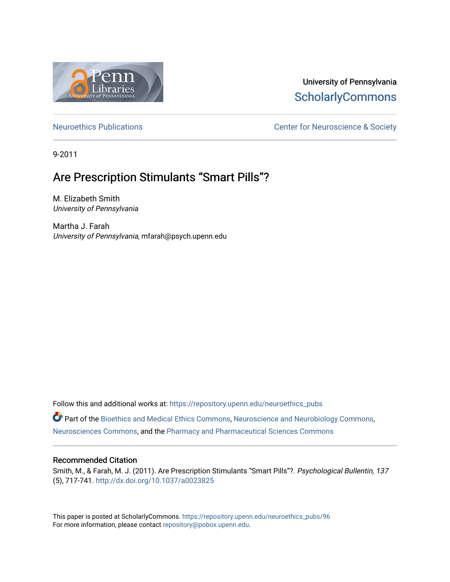

## University of Pennsylvania **ScholarlyCommons**

[Neuroethics Publications](https://repository.upenn.edu/neuroethics_pubs) **Neuroethics** Publications **Center for Neuroscience & Society** 

9-2011

# Are Prescription Stimulants "Smart Pills"?

M. Elizabeth Smith University of Pennsylvania

Martha J. Farah University of Pennsylvania, mfarah@psych.upenn.edu

Follow this and additional works at: [https://repository.upenn.edu/neuroethics\\_pubs](https://repository.upenn.edu/neuroethics_pubs?utm_source=repository.upenn.edu%2Fneuroethics_pubs%2F96&utm_medium=PDF&utm_campaign=PDFCoverPages)

Part of the [Bioethics and Medical Ethics Commons,](http://network.bepress.com/hgg/discipline/650?utm_source=repository.upenn.edu%2Fneuroethics_pubs%2F96&utm_medium=PDF&utm_campaign=PDFCoverPages) [Neuroscience and Neurobiology Commons](http://network.bepress.com/hgg/discipline/55?utm_source=repository.upenn.edu%2Fneuroethics_pubs%2F96&utm_medium=PDF&utm_campaign=PDFCoverPages), [Neurosciences Commons,](http://network.bepress.com/hgg/discipline/1010?utm_source=repository.upenn.edu%2Fneuroethics_pubs%2F96&utm_medium=PDF&utm_campaign=PDFCoverPages) and the [Pharmacy and Pharmaceutical Sciences Commons](http://network.bepress.com/hgg/discipline/731?utm_source=repository.upenn.edu%2Fneuroethics_pubs%2F96&utm_medium=PDF&utm_campaign=PDFCoverPages)

### Recommended Citation

Smith, M., & Farah, M. J. (2011). Are Prescription Stimulants "Smart Pills"?. Psychological Bullentin, 137 (5), 717-741. <http://dx.doi.org/10.1037/a0023825>

This paper is posted at ScholarlyCommons. [https://repository.upenn.edu/neuroethics\\_pubs/96](https://repository.upenn.edu/neuroethics_pubs/96) For more information, please contact [repository@pobox.upenn.edu.](mailto:repository@pobox.upenn.edu)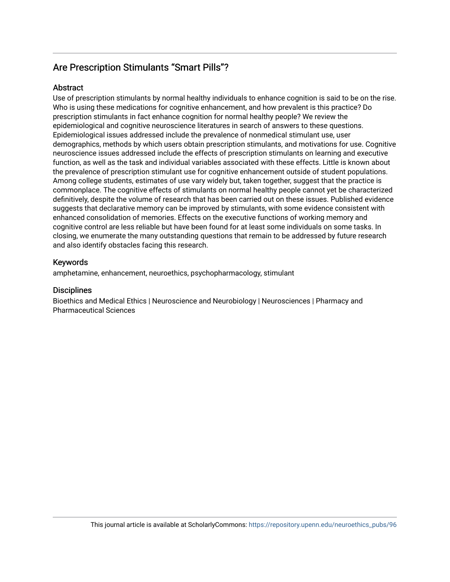## Are Prescription Stimulants "Smart Pills"?

## Abstract

Use of prescription stimulants by normal healthy individuals to enhance cognition is said to be on the rise. Who is using these medications for cognitive enhancement, and how prevalent is this practice? Do prescription stimulants in fact enhance cognition for normal healthy people? We review the epidemiological and cognitive neuroscience literatures in search of answers to these questions. Epidemiological issues addressed include the prevalence of nonmedical stimulant use, user demographics, methods by which users obtain prescription stimulants, and motivations for use. Cognitive neuroscience issues addressed include the effects of prescription stimulants on learning and executive function, as well as the task and individual variables associated with these effects. Little is known about the prevalence of prescription stimulant use for cognitive enhancement outside of student populations. Among college students, estimates of use vary widely but, taken together, suggest that the practice is commonplace. The cognitive effects of stimulants on normal healthy people cannot yet be characterized definitively, despite the volume of research that has been carried out on these issues. Published evidence suggests that declarative memory can be improved by stimulants, with some evidence consistent with enhanced consolidation of memories. Effects on the executive functions of working memory and cognitive control are less reliable but have been found for at least some individuals on some tasks. In closing, we enumerate the many outstanding questions that remain to be addressed by future research and also identify obstacles facing this research.

## Keywords

amphetamine, enhancement, neuroethics, psychopharmacology, stimulant

## **Disciplines**

Bioethics and Medical Ethics | Neuroscience and Neurobiology | Neurosciences | Pharmacy and Pharmaceutical Sciences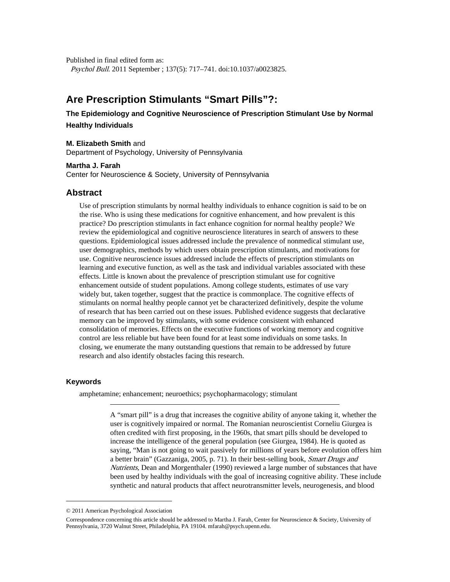Published in final edited form as: Psychol Bull. 2011 September ; 137(5): 717–741. doi:10.1037/a0023825.

## **Are Prescription Stimulants "Smart Pills"?:**

**The Epidemiology and Cognitive Neuroscience of Prescription Stimulant Use by Normal Healthy Individuals**

**M. Elizabeth Smith** and Department of Psychology, University of Pennsylvania

**Martha J. Farah**

Center for Neuroscience & Society, University of Pennsylvania

#### **Abstract**

Use of prescription stimulants by normal healthy individuals to enhance cognition is said to be on the rise. Who is using these medications for cognitive enhancement, and how prevalent is this practice? Do prescription stimulants in fact enhance cognition for normal healthy people? We review the epidemiological and cognitive neuroscience literatures in search of answers to these questions. Epidemiological issues addressed include the prevalence of nonmedical stimulant use, user demographics, methods by which users obtain prescription stimulants, and motivations for use. Cognitive neuroscience issues addressed include the effects of prescription stimulants on learning and executive function, as well as the task and individual variables associated with these effects. Little is known about the prevalence of prescription stimulant use for cognitive enhancement outside of student populations. Among college students, estimates of use vary widely but, taken together, suggest that the practice is commonplace. The cognitive effects of stimulants on normal healthy people cannot yet be characterized definitively, despite the volume of research that has been carried out on these issues. Published evidence suggests that declarative memory can be improved by stimulants, with some evidence consistent with enhanced consolidation of memories. Effects on the executive functions of working memory and cognitive control are less reliable but have been found for at least some individuals on some tasks. In closing, we enumerate the many outstanding questions that remain to be addressed by future research and also identify obstacles facing this research.

#### **Keywords**

amphetamine; enhancement; neuroethics; psychopharmacology; stimulant

A "smart pill" is a drug that increases the cognitive ability of anyone taking it, whether the user is cognitively impaired or normal. The Romanian neuroscientist Corneliu Giurgea is often credited with first proposing, in the 1960s, that smart pills should be developed to increase the intelligence of the general population (see Giurgea, 1984). He is quoted as saying, "Man is not going to wait passively for millions of years before evolution offers him a better brain" (Gazzaniga, 2005, p. 71). In their best-selling book, Smart Drugs and Nutrients, Dean and Morgenthaler (1990) reviewed a large number of substances that have been used by healthy individuals with the goal of increasing cognitive ability. These include synthetic and natural products that affect neurotransmitter levels, neurogenesis, and blood

<sup>© 2011</sup> American Psychological Association

Correspondence concerning this article should be addressed to Martha J. Farah, Center for Neuroscience & Society, University of Pennsylvania, 3720 Walnut Street, Philadelphia, PA 19104. mfarah@psych.upenn.edu.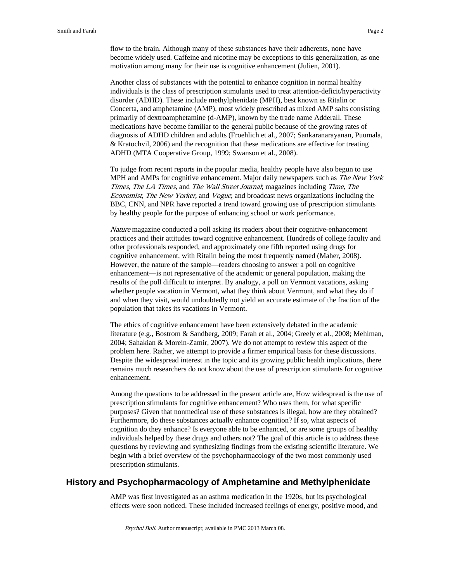Another class of substances with the potential to enhance cognition in normal healthy individuals is the class of prescription stimulants used to treat attention-deficit/hyperactivity disorder (ADHD). These include methylphenidate (MPH), best known as Ritalin or Concerta, and amphetamine (AMP), most widely prescribed as mixed AMP salts consisting primarily of dextroamphetamine (d-AMP), known by the trade name Adderall. These medications have become familiar to the general public because of the growing rates of diagnosis of ADHD children and adults (Froehlich et al., 2007; Sankaranarayanan, Puumala, & Kratochvil, 2006) and the recognition that these medications are effective for treating ADHD (MTA Cooperative Group, 1999; Swanson et al., 2008).

To judge from recent reports in the popular media, healthy people have also begun to use MPH and AMPs for cognitive enhancement. Major daily newspapers such as *The New York* Times, The LA Times, and The Wall Street Journal; magazines including Time, The Economist, The New Yorker, and Vogue; and broadcast news organizations including the BBC, CNN, and NPR have reported a trend toward growing use of prescription stimulants by healthy people for the purpose of enhancing school or work performance.

Nature magazine conducted a poll asking its readers about their cognitive-enhancement practices and their attitudes toward cognitive enhancement. Hundreds of college faculty and other professionals responded, and approximately one fifth reported using drugs for cognitive enhancement, with Ritalin being the most frequently named (Maher, 2008). However, the nature of the sample—readers choosing to answer a poll on cognitive enhancement—is not representative of the academic or general population, making the results of the poll difficult to interpret. By analogy, a poll on Vermont vacations, asking whether people vacation in Vermont, what they think about Vermont, and what they do if and when they visit, would undoubtedly not yield an accurate estimate of the fraction of the population that takes its vacations in Vermont.

The ethics of cognitive enhancement have been extensively debated in the academic literature (e.g., Bostrom & Sandberg, 2009; Farah et al., 2004; Greely et al., 2008; Mehlman, 2004; Sahakian & Morein-Zamir, 2007). We do not attempt to review this aspect of the problem here. Rather, we attempt to provide a firmer empirical basis for these discussions. Despite the widespread interest in the topic and its growing public health implications, there remains much researchers do not know about the use of prescription stimulants for cognitive enhancement.

Among the questions to be addressed in the present article are, How widespread is the use of prescription stimulants for cognitive enhancement? Who uses them, for what specific purposes? Given that nonmedical use of these substances is illegal, how are they obtained? Furthermore, do these substances actually enhance cognition? If so, what aspects of cognition do they enhance? Is everyone able to be enhanced, or are some groups of healthy individuals helped by these drugs and others not? The goal of this article is to address these questions by reviewing and synthesizing findings from the existing scientific literature. We begin with a brief overview of the psychopharmacology of the two most commonly used prescription stimulants.

#### **History and Psychopharmacology of Amphetamine and Methylphenidate**

AMP was first investigated as an asthma medication in the 1920s, but its psychological effects were soon noticed. These included increased feelings of energy, positive mood, and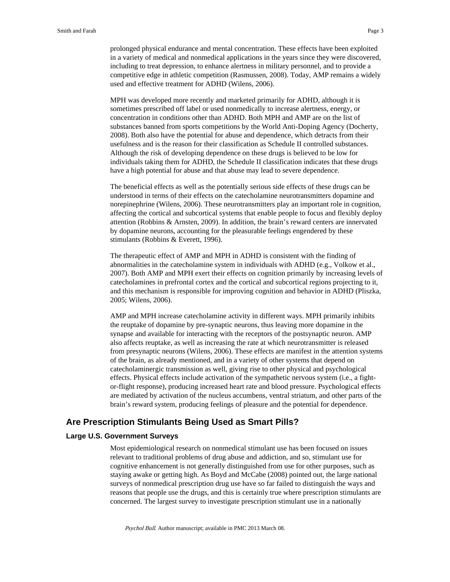prolonged physical endurance and mental concentration. These effects have been exploited in a variety of medical and nonmedical applications in the years since they were discovered, including to treat depression, to enhance alertness in military personnel, and to provide a competitive edge in athletic competition (Rasmussen, 2008). Today, AMP remains a widely used and effective treatment for ADHD (Wilens, 2006).

MPH was developed more recently and marketed primarily for ADHD, although it is sometimes prescribed off label or used nonmedically to increase alertness, energy, or concentration in conditions other than ADHD. Both MPH and AMP are on the list of substances banned from sports competitions by the World Anti-Doping Agency (Docherty, 2008). Both also have the potential for abuse and dependence, which detracts from their usefulness and is the reason for their classification as Schedule II controlled substances. Although the risk of developing dependence on these drugs is believed to be low for individuals taking them for ADHD, the Schedule II classification indicates that these drugs have a high potential for abuse and that abuse may lead to severe dependence.

The beneficial effects as well as the potentially serious side effects of these drugs can be understood in terms of their effects on the catecholamine neurotransmitters dopamine and norepinephrine (Wilens, 2006). These neurotransmitters play an important role in cognition, affecting the cortical and subcortical systems that enable people to focus and flexibly deploy attention (Robbins & Arnsten, 2009). In addition, the brain's reward centers are innervated by dopamine neurons, accounting for the pleasurable feelings engendered by these stimulants (Robbins & Everett, 1996).

The therapeutic effect of AMP and MPH in ADHD is consistent with the finding of abnormalities in the catecholamine system in individuals with ADHD (e.g., Volkow et al., 2007). Both AMP and MPH exert their effects on cognition primarily by increasing levels of catecholamines in prefrontal cortex and the cortical and subcortical regions projecting to it, and this mechanism is responsible for improving cognition and behavior in ADHD (Pliszka, 2005; Wilens, 2006).

AMP and MPH increase catecholamine activity in different ways. MPH primarily inhibits the reuptake of dopamine by pre-synaptic neurons, thus leaving more dopamine in the synapse and available for interacting with the receptors of the postsynaptic neuron. AMP also affects reuptake, as well as increasing the rate at which neurotransmitter is released from presynaptic neurons (Wilens, 2006). These effects are manifest in the attention systems of the brain, as already mentioned, and in a variety of other systems that depend on catecholaminergic transmission as well, giving rise to other physical and psychological effects. Physical effects include activation of the sympathetic nervous system (i.e., a fightor-flight response), producing increased heart rate and blood pressure. Psychological effects are mediated by activation of the nucleus accumbens, ventral striatum, and other parts of the brain's reward system, producing feelings of pleasure and the potential for dependence.

### **Are Prescription Stimulants Being Used as Smart Pills?**

#### **Large U.S. Government Surveys**

Most epidemiological research on nonmedical stimulant use has been focused on issues relevant to traditional problems of drug abuse and addiction, and so, stimulant use for cognitive enhancement is not generally distinguished from use for other purposes, such as staying awake or getting high. As Boyd and McCabe (2008) pointed out, the large national surveys of nonmedical prescription drug use have so far failed to distinguish the ways and reasons that people use the drugs, and this is certainly true where prescription stimulants are concerned. The largest survey to investigate prescription stimulant use in a nationally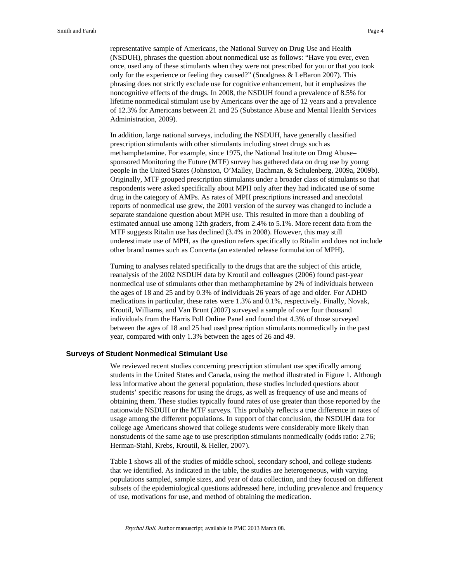representative sample of Americans, the National Survey on Drug Use and Health (NSDUH), phrases the question about nonmedical use as follows: "Have you ever, even once, used any of these stimulants when they were not prescribed for you or that you took only for the experience or feeling they caused?" (Snodgrass & LeBaron 2007). This phrasing does not strictly exclude use for cognitive enhancement, but it emphasizes the noncognitive effects of the drugs. In 2008, the NSDUH found a prevalence of 8.5% for lifetime nonmedical stimulant use by Americans over the age of 12 years and a prevalence

In addition, large national surveys, including the NSDUH, have generally classified prescription stimulants with other stimulants including street drugs such as methamphetamine. For example, since 1975, the National Institute on Drug Abuse– sponsored Monitoring the Future (MTF) survey has gathered data on drug use by young people in the United States (Johnston, O'Malley, Bachman, & Schulenberg, 2009a, 2009b). Originally, MTF grouped prescription stimulants under a broader class of stimulants so that respondents were asked specifically about MPH only after they had indicated use of some drug in the category of AMPs. As rates of MPH prescriptions increased and anecdotal reports of nonmedical use grew, the 2001 version of the survey was changed to include a separate standalone question about MPH use. This resulted in more than a doubling of estimated annual use among 12th graders, from 2.4% to 5.1%. More recent data from the MTF suggests Ritalin use has declined (3.4% in 2008). However, this may still underestimate use of MPH, as the question refers specifically to Ritalin and does not include other brand names such as Concerta (an extended release formulation of MPH).

of 12.3% for Americans between 21 and 25 (Substance Abuse and Mental Health Services

Turning to analyses related specifically to the drugs that are the subject of this article, reanalysis of the 2002 NSDUH data by Kroutil and colleagues (2006) found past-year nonmedical use of stimulants other than methamphetamine by 2% of individuals between the ages of 18 and 25 and by 0.3% of individuals 26 years of age and older. For ADHD medications in particular, these rates were 1.3% and 0.1%, respectively. Finally, Novak, Kroutil, Williams, and Van Brunt (2007) surveyed a sample of over four thousand individuals from the Harris Poll Online Panel and found that 4.3% of those surveyed between the ages of 18 and 25 had used prescription stimulants nonmedically in the past year, compared with only 1.3% between the ages of 26 and 49.

#### **Surveys of Student Nonmedical Stimulant Use**

Administration, 2009).

We reviewed recent studies concerning prescription stimulant use specifically among students in the United States and Canada, using the method illustrated in Figure 1. Although less informative about the general population, these studies included questions about students' specific reasons for using the drugs, as well as frequency of use and means of obtaining them. These studies typically found rates of use greater than those reported by the nationwide NSDUH or the MTF surveys. This probably reflects a true difference in rates of usage among the different populations. In support of that conclusion, the NSDUH data for college age Americans showed that college students were considerably more likely than nonstudents of the same age to use prescription stimulants nonmedically (odds ratio: 2.76; Herman-Stahl, Krebs, Kroutil, & Heller, 2007).

Table 1 shows all of the studies of middle school, secondary school, and college students that we identified. As indicated in the table, the studies are heterogeneous, with varying populations sampled, sample sizes, and year of data collection, and they focused on different subsets of the epidemiological questions addressed here, including prevalence and frequency of use, motivations for use, and method of obtaining the medication.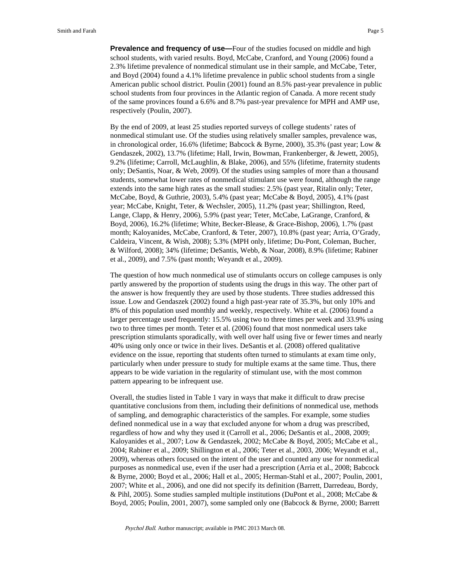**Prevalence and frequency of use—Four of the studies focused on middle and high** school students, with varied results. Boyd, McCabe, Cranford, and Young (2006) found a 2.3% lifetime prevalence of nonmedical stimulant use in their sample, and McCabe, Teter, and Boyd (2004) found a 4.1% lifetime prevalence in public school students from a single American public school district. Poulin (2001) found an 8.5% past-year prevalence in public school students from four provinces in the Atlantic region of Canada. A more recent study of the same provinces found a 6.6% and 8.7% past-year prevalence for MPH and AMP use, respectively (Poulin, 2007).

By the end of 2009, at least 25 studies reported surveys of college students' rates of nonmedical stimulant use. Of the studies using relatively smaller samples, prevalence was, in chronological order, 16.6% (lifetime; Babcock & Byrne, 2000), 35.3% (past year; Low & Gendaszek, 2002), 13.7% (lifetime; Hall, Irwin, Bowman, Frankenberger, & Jewett, 2005), 9.2% (lifetime; Carroll, McLaughlin, & Blake, 2006), and 55% (lifetime, fraternity students only; DeSantis, Noar, & Web, 2009). Of the studies using samples of more than a thousand students, somewhat lower rates of nonmedical stimulant use were found, although the range extends into the same high rates as the small studies: 2.5% (past year, Ritalin only; Teter, McCabe, Boyd, & Guthrie, 2003), 5.4% (past year; McCabe & Boyd, 2005), 4.1% (past year; McCabe, Knight, Teter, & Wechsler, 2005), 11.2% (past year; Shillington, Reed, Lange, Clapp, & Henry, 2006), 5.9% (past year; Teter, McCabe, LaGrange, Cranford, & Boyd, 2006), 16.2% (lifetime; White, Becker-Blease, & Grace-Bishop, 2006), 1.7% (past month; Kaloyanides, McCabe, Cranford, & Teter, 2007), 10.8% (past year; Arria, O'Grady, Caldeira, Vincent, & Wish, 2008); 5.3% (MPH only, lifetime; Du-Pont, Coleman, Bucher, & Wilford, 2008); 34% (lifetime; DeSantis, Webb, & Noar, 2008), 8.9% (lifetime; Rabiner et al., 2009), and 7.5% (past month; Weyandt et al., 2009).

The question of how much nonmedical use of stimulants occurs on college campuses is only partly answered by the proportion of students using the drugs in this way. The other part of the answer is how frequently they are used by those students. Three studies addressed this issue. Low and Gendaszek (2002) found a high past-year rate of 35.3%, but only 10% and 8% of this population used monthly and weekly, respectively. White et al. (2006) found a larger percentage used frequently: 15.5% using two to three times per week and 33.9% using two to three times per month. Teter et al. (2006) found that most nonmedical users take prescription stimulants sporadically, with well over half using five or fewer times and nearly 40% using only once or twice in their lives. DeSantis et al. (2008) offered qualitative evidence on the issue, reporting that students often turned to stimulants at exam time only, particularly when under pressure to study for multiple exams at the same time. Thus, there appears to be wide variation in the regularity of stimulant use, with the most common pattern appearing to be infrequent use.

Overall, the studies listed in Table 1 vary in ways that make it difficult to draw precise quantitative conclusions from them, including their definitions of nonmedical use, methods of sampling, and demographic characteristics of the samples. For example, some studies defined nonmedical use in a way that excluded anyone for whom a drug was prescribed, regardless of how and why they used it (Carroll et al., 2006; DeSantis et al., 2008, 2009; Kaloyanides et al., 2007; Low & Gendaszek, 2002; McCabe & Boyd, 2005; McCabe et al., 2004; Rabiner et al., 2009; Shillington et al., 2006; Teter et al., 2003, 2006; Weyandt et al., 2009), whereas others focused on the intent of the user and counted any use for nonmedical purposes as nonmedical use, even if the user had a prescription (Arria et al., 2008; Babcock & Byrne, 2000; Boyd et al., 2006; Hall et al., 2005; Herman-Stahl et al., 2007; Poulin, 2001, 2007; White et al., 2006), and one did not specify its definition (Barrett, Darredeau, Bordy, & Pihl, 2005). Some studies sampled multiple institutions (DuPont et al., 2008; McCabe & Boyd, 2005; Poulin, 2001, 2007), some sampled only one (Babcock & Byrne, 2000; Barrett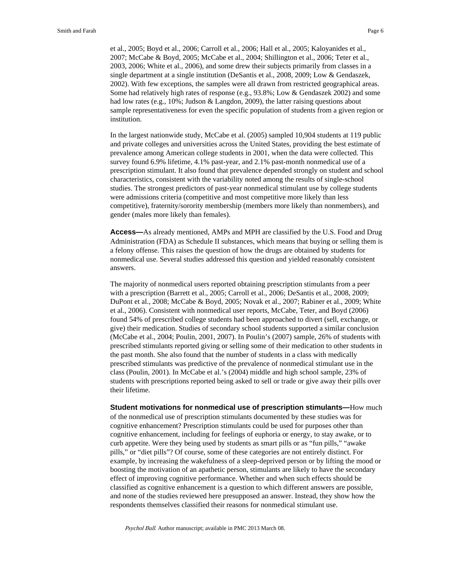et al., 2005; Boyd et al., 2006; Carroll et al., 2006; Hall et al., 2005; Kaloyanides et al., 2007; McCabe & Boyd, 2005; McCabe et al., 2004; Shillington et al., 2006; Teter et al., 2003, 2006; White et al., 2006), and some drew their subjects primarily from classes in a single department at a single institution (DeSantis et al., 2008, 2009; Low & Gendaszek, 2002). With few exceptions, the samples were all drawn from restricted geographical areas. Some had relatively high rates of response (e.g., 93.8%; Low & Gendaszek 2002) and some had low rates (e.g., 10%; Judson & Langdon, 2009), the latter raising questions about sample representativeness for even the specific population of students from a given region or institution.

In the largest nationwide study, McCabe et al. (2005) sampled 10,904 students at 119 public and private colleges and universities across the United States, providing the best estimate of prevalence among American college students in 2001, when the data were collected. This survey found 6.9% lifetime, 4.1% past-year, and 2.1% past-month nonmedical use of a prescription stimulant. It also found that prevalence depended strongly on student and school characteristics, consistent with the variability noted among the results of single-school studies. The strongest predictors of past-year nonmedical stimulant use by college students were admissions criteria (competitive and most competitive more likely than less competitive), fraternity/sorority membership (members more likely than nonmembers), and gender (males more likely than females).

**Access—**As already mentioned, AMPs and MPH are classified by the U.S. Food and Drug Administration (FDA) as Schedule II substances, which means that buying or selling them is a felony offense. This raises the question of how the drugs are obtained by students for nonmedical use. Several studies addressed this question and yielded reasonably consistent answers.

The majority of nonmedical users reported obtaining prescription stimulants from a peer with a prescription (Barrett et al., 2005; Carroll et al., 2006; DeSantis et al., 2008, 2009; DuPont et al., 2008; McCabe & Boyd, 2005; Novak et al., 2007; Rabiner et al., 2009; White et al., 2006). Consistent with nonmedical user reports, McCabe, Teter, and Boyd (2006) found 54% of prescribed college students had been approached to divert (sell, exchange, or give) their medication. Studies of secondary school students supported a similar conclusion (McCabe et al., 2004; Poulin, 2001, 2007). In Poulin's (2007) sample, 26% of students with prescribed stimulants reported giving or selling some of their medication to other students in the past month. She also found that the number of students in a class with medically prescribed stimulants was predictive of the prevalence of nonmedical stimulant use in the class (Poulin, 2001). In McCabe et al.'s (2004) middle and high school sample, 23% of students with prescriptions reported being asked to sell or trade or give away their pills over their lifetime.

**Student motivations for nonmedical use of prescription stimulants—**How much of the nonmedical use of prescription stimulants documented by these studies was for cognitive enhancement? Prescription stimulants could be used for purposes other than cognitive enhancement, including for feelings of euphoria or energy, to stay awake, or to curb appetite. Were they being used by students as smart pills or as "fun pills," "awake pills," or "diet pills"? Of course, some of these categories are not entirely distinct. For example, by increasing the wakefulness of a sleep-deprived person or by lifting the mood or boosting the motivation of an apathetic person, stimulants are likely to have the secondary effect of improving cognitive performance. Whether and when such effects should be classified as cognitive enhancement is a question to which different answers are possible, and none of the studies reviewed here presupposed an answer. Instead, they show how the respondents themselves classified their reasons for nonmedical stimulant use.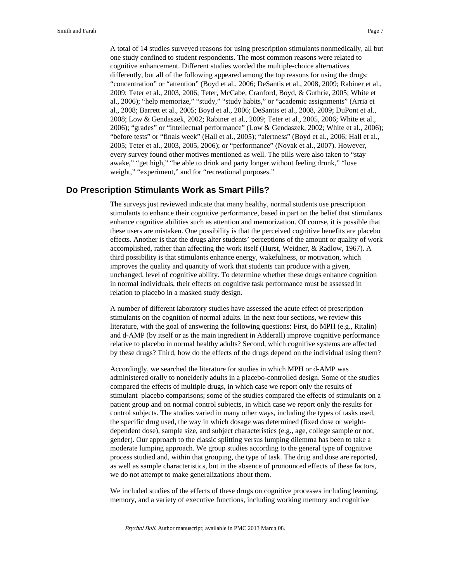A total of 14 studies surveyed reasons for using prescription stimulants nonmedically, all but one study confined to student respondents. The most common reasons were related to cognitive enhancement. Different studies worded the multiple-choice alternatives differently, but all of the following appeared among the top reasons for using the drugs: "concentration" or "attention" (Boyd et al., 2006; DeSantis et al., 2008, 2009; Rabiner et al., 2009; Teter et al., 2003, 2006; Teter, McCabe, Cranford, Boyd, & Guthrie, 2005; White et al., 2006); "help memorize," "study," "study habits," or "academic assignments" (Arria et al., 2008; Barrett et al., 2005; Boyd et al., 2006; DeSantis et al., 2008, 2009; DuPont et al., 2008; Low & Gendaszek, 2002; Rabiner et al., 2009; Teter et al., 2005, 2006; White et al., 2006); "grades" or "intellectual performance" (Low & Gendaszek, 2002; White et al., 2006); "before tests" or "finals week" (Hall et al., 2005); "alertness" (Boyd et al., 2006; Hall et al., 2005; Teter et al., 2003, 2005, 2006); or "performance" (Novak et al., 2007). However, every survey found other motives mentioned as well. The pills were also taken to "stay awake," "get high," "be able to drink and party longer without feeling drunk," "lose weight," "experiment," and for "recreational purposes."

#### **Do Prescription Stimulants Work as Smart Pills?**

The surveys just reviewed indicate that many healthy, normal students use prescription stimulants to enhance their cognitive performance, based in part on the belief that stimulants enhance cognitive abilities such as attention and memorization. Of course, it is possible that these users are mistaken. One possibility is that the perceived cognitive benefits are placebo effects. Another is that the drugs alter students' perceptions of the amount or quality of work accomplished, rather than affecting the work itself (Hurst, Weidner, & Radlow, 1967). A third possibility is that stimulants enhance energy, wakefulness, or motivation, which improves the quality and quantity of work that students can produce with a given, unchanged, level of cognitive ability. To determine whether these drugs enhance cognition in normal individuals, their effects on cognitive task performance must be assessed in relation to placebo in a masked study design.

A number of different laboratory studies have assessed the acute effect of prescription stimulants on the cognition of normal adults. In the next four sections, we review this literature, with the goal of answering the following questions: First, do MPH (e.g., Ritalin) and d-AMP (by itself or as the main ingredient in Adderall) improve cognitive performance relative to placebo in normal healthy adults? Second, which cognitive systems are affected by these drugs? Third, how do the effects of the drugs depend on the individual using them?

Accordingly, we searched the literature for studies in which MPH or d-AMP was administered orally to nonelderly adults in a placebo-controlled design. Some of the studies compared the effects of multiple drugs, in which case we report only the results of stimulant–placebo comparisons; some of the studies compared the effects of stimulants on a patient group and on normal control subjects, in which case we report only the results for control subjects. The studies varied in many other ways, including the types of tasks used, the specific drug used, the way in which dosage was determined (fixed dose or weightdependent dose), sample size, and subject characteristics (e.g., age, college sample or not, gender). Our approach to the classic splitting versus lumping dilemma has been to take a moderate lumping approach. We group studies according to the general type of cognitive process studied and, within that grouping, the type of task. The drug and dose are reported, as well as sample characteristics, but in the absence of pronounced effects of these factors, we do not attempt to make generalizations about them.

We included studies of the effects of these drugs on cognitive processes including learning, memory, and a variety of executive functions, including working memory and cognitive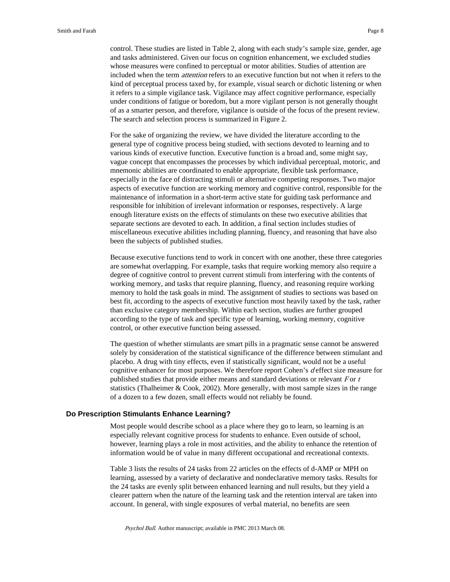control. These studies are listed in Table 2, along with each study's sample size, gender, age and tasks administered. Given our focus on cognition enhancement, we excluded studies whose measures were confined to perceptual or motor abilities. Studies of attention are included when the term *attention* refers to an executive function but not when it refers to the kind of perceptual process taxed by, for example, visual search or dichotic listening or when it refers to a simple vigilance task. Vigilance may affect cognitive performance, especially under conditions of fatigue or boredom, but a more vigilant person is not generally thought of as a smarter person, and therefore, vigilance is outside of the focus of the present review. The search and selection process is summarized in Figure 2.

For the sake of organizing the review, we have divided the literature according to the general type of cognitive process being studied, with sections devoted to learning and to various kinds of executive function. Executive function is a broad and, some might say, vague concept that encompasses the processes by which individual perceptual, motoric, and mnemonic abilities are coordinated to enable appropriate, flexible task performance, especially in the face of distracting stimuli or alternative competing responses. Two major aspects of executive function are working memory and cognitive control, responsible for the maintenance of information in a short-term active state for guiding task performance and responsible for inhibition of irrelevant information or responses, respectively. A large enough literature exists on the effects of stimulants on these two executive abilities that separate sections are devoted to each. In addition, a final section includes studies of miscellaneous executive abilities including planning, fluency, and reasoning that have also been the subjects of published studies.

Because executive functions tend to work in concert with one another, these three categories are somewhat overlapping. For example, tasks that require working memory also require a degree of cognitive control to prevent current stimuli from interfering with the contents of working memory, and tasks that require planning, fluency, and reasoning require working memory to hold the task goals in mind. The assignment of studies to sections was based on best fit, according to the aspects of executive function most heavily taxed by the task, rather than exclusive category membership. Within each section, studies are further grouped according to the type of task and specific type of learning, working memory, cognitive control, or other executive function being assessed.

The question of whether stimulants are smart pills in a pragmatic sense cannot be answered solely by consideration of the statistical significance of the difference between stimulant and placebo. A drug with tiny effects, even if statistically significant, would not be a useful cognitive enhancer for most purposes. We therefore report Cohen's deffect size measure for published studies that provide either means and standard deviations or relevant  $F$  or  $t$ statistics (Thalheimer & Cook, 2002). More generally, with most sample sizes in the range of a dozen to a few dozen, small effects would not reliably be found.

#### **Do Prescription Stimulants Enhance Learning?**

Most people would describe school as a place where they go to learn, so learning is an especially relevant cognitive process for students to enhance. Even outside of school, however, learning plays a role in most activities, and the ability to enhance the retention of information would be of value in many different occupational and recreational contexts.

Table 3 lists the results of 24 tasks from 22 articles on the effects of d-AMP or MPH on learning, assessed by a variety of declarative and nondeclarative memory tasks. Results for the 24 tasks are evenly split between enhanced learning and null results, but they yield a clearer pattern when the nature of the learning task and the retention interval are taken into account. In general, with single exposures of verbal material, no benefits are seen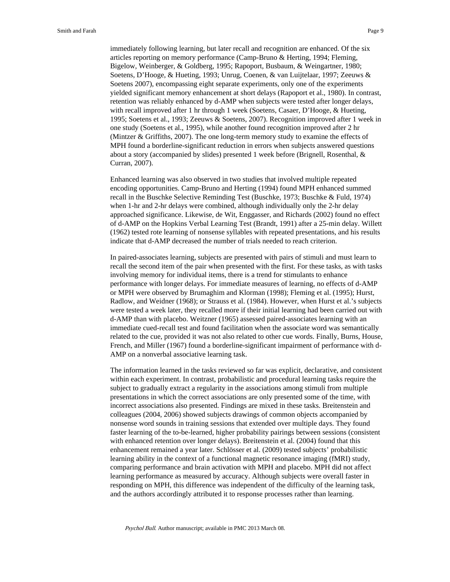immediately following learning, but later recall and recognition are enhanced. Of the six articles reporting on memory performance (Camp-Bruno & Herting, 1994; Fleming, Bigelow, Weinberger, & Goldberg, 1995; Rapoport, Busbaum, & Weingartner, 1980; Soetens, D'Hooge, & Hueting, 1993; Unrug, Coenen, & van Luijtelaar, 1997; Zeeuws & Soetens 2007), encompassing eight separate experiments, only one of the experiments yielded significant memory enhancement at short delays (Rapoport et al., 1980). In contrast, retention was reliably enhanced by d-AMP when subjects were tested after longer delays, with recall improved after 1 hr through 1 week (Soetens, Casaer, D'Hooge, & Hueting, 1995; Soetens et al., 1993; Zeeuws & Soetens, 2007). Recognition improved after 1 week in one study (Soetens et al., 1995), while another found recognition improved after 2 hr (Mintzer & Griffiths, 2007). The one long-term memory study to examine the effects of MPH found a borderline-significant reduction in errors when subjects answered questions about a story (accompanied by slides) presented 1 week before (Brignell, Rosenthal, & Curran, 2007).

Enhanced learning was also observed in two studies that involved multiple repeated encoding opportunities. Camp-Bruno and Herting (1994) found MPH enhanced summed recall in the Buschke Selective Reminding Test (Buschke, 1973; Buschke & Fuld, 1974) when 1-hr and 2-hr delays were combined, although individually only the 2-hr delay approached significance. Likewise, de Wit, Enggasser, and Richards (2002) found no effect of d-AMP on the Hopkins Verbal Learning Test (Brandt, 1991) after a 25-min delay. Willett (1962) tested rote learning of nonsense syllables with repeated presentations, and his results indicate that d-AMP decreased the number of trials needed to reach criterion.

In paired-associates learning, subjects are presented with pairs of stimuli and must learn to recall the second item of the pair when presented with the first. For these tasks, as with tasks involving memory for individual items, there is a trend for stimulants to enhance performance with longer delays. For immediate measures of learning, no effects of d-AMP or MPH were observed by Brumaghim and Klorman (1998); Fleming et al. (1995); Hurst, Radlow, and Weidner (1968); or Strauss et al. (1984). However, when Hurst et al.'s subjects were tested a week later, they recalled more if their initial learning had been carried out with d-AMP than with placebo. Weitzner (1965) assessed paired-associates learning with an immediate cued-recall test and found facilitation when the associate word was semantically related to the cue, provided it was not also related to other cue words. Finally, Burns, House, French, and Miller (1967) found a borderline-significant impairment of performance with d-AMP on a nonverbal associative learning task.

The information learned in the tasks reviewed so far was explicit, declarative, and consistent within each experiment. In contrast, probabilistic and procedural learning tasks require the subject to gradually extract a regularity in the associations among stimuli from multiple presentations in which the correct associations are only presented some of the time, with incorrect associations also presented. Findings are mixed in these tasks. Breitenstein and colleagues (2004, 2006) showed subjects drawings of common objects accompanied by nonsense word sounds in training sessions that extended over multiple days. They found faster learning of the to-be-learned, higher probability pairings between sessions (consistent with enhanced retention over longer delays). Breitenstein et al. (2004) found that this enhancement remained a year later. Schlösser et al. (2009) tested subjects' probabilistic learning ability in the context of a functional magnetic resonance imaging (fMRI) study, comparing performance and brain activation with MPH and placebo. MPH did not affect learning performance as measured by accuracy. Although subjects were overall faster in responding on MPH, this difference was independent of the difficulty of the learning task, and the authors accordingly attributed it to response processes rather than learning.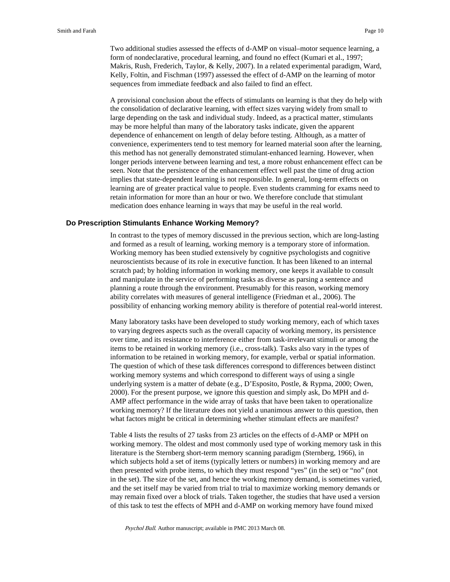Two additional studies assessed the effects of d-AMP on visual–motor sequence learning, a form of nondeclarative, procedural learning, and found no effect (Kumari et al., 1997; Makris, Rush, Frederich, Taylor, & Kelly, 2007). In a related experimental paradigm, Ward, Kelly, Foltin, and Fischman (1997) assessed the effect of d-AMP on the learning of motor sequences from immediate feedback and also failed to find an effect.

A provisional conclusion about the effects of stimulants on learning is that they do help with the consolidation of declarative learning, with effect sizes varying widely from small to large depending on the task and individual study. Indeed, as a practical matter, stimulants may be more helpful than many of the laboratory tasks indicate, given the apparent dependence of enhancement on length of delay before testing. Although, as a matter of convenience, experimenters tend to test memory for learned material soon after the learning, this method has not generally demonstrated stimulant-enhanced learning. However, when longer periods intervene between learning and test, a more robust enhancement effect can be seen. Note that the persistence of the enhancement effect well past the time of drug action implies that state-dependent learning is not responsible. In general, long-term effects on learning are of greater practical value to people. Even students cramming for exams need to retain information for more than an hour or two. We therefore conclude that stimulant medication does enhance learning in ways that may be useful in the real world.

#### **Do Prescription Stimulants Enhance Working Memory?**

In contrast to the types of memory discussed in the previous section, which are long-lasting and formed as a result of learning, working memory is a temporary store of information. Working memory has been studied extensively by cognitive psychologists and cognitive neuroscientists because of its role in executive function. It has been likened to an internal scratch pad; by holding information in working memory, one keeps it available to consult and manipulate in the service of performing tasks as diverse as parsing a sentence and planning a route through the environment. Presumably for this reason, working memory ability correlates with measures of general intelligence (Friedman et al., 2006). The possibility of enhancing working memory ability is therefore of potential real-world interest.

Many laboratory tasks have been developed to study working memory, each of which taxes to varying degrees aspects such as the overall capacity of working memory, its persistence over time, and its resistance to interference either from task-irrelevant stimuli or among the items to be retained in working memory (i.e., cross-talk). Tasks also vary in the types of information to be retained in working memory, for example, verbal or spatial information. The question of which of these task differences correspond to differences between distinct working memory systems and which correspond to different ways of using a single underlying system is a matter of debate (e.g., D'Esposito, Postle, & Rypma, 2000; Owen, 2000). For the present purpose, we ignore this question and simply ask, Do MPH and d-AMP affect performance in the wide array of tasks that have been taken to operationalize working memory? If the literature does not yield a unanimous answer to this question, then what factors might be critical in determining whether stimulant effects are manifest?

Table 4 lists the results of 27 tasks from 23 articles on the effects of d-AMP or MPH on working memory. The oldest and most commonly used type of working memory task in this literature is the Sternberg short-term memory scanning paradigm (Sternberg, 1966), in which subjects hold a set of items (typically letters or numbers) in working memory and are then presented with probe items, to which they must respond "yes" (in the set) or "no" (not in the set). The size of the set, and hence the working memory demand, is sometimes varied, and the set itself may be varied from trial to trial to maximize working memory demands or may remain fixed over a block of trials. Taken together, the studies that have used a version of this task to test the effects of MPH and d-AMP on working memory have found mixed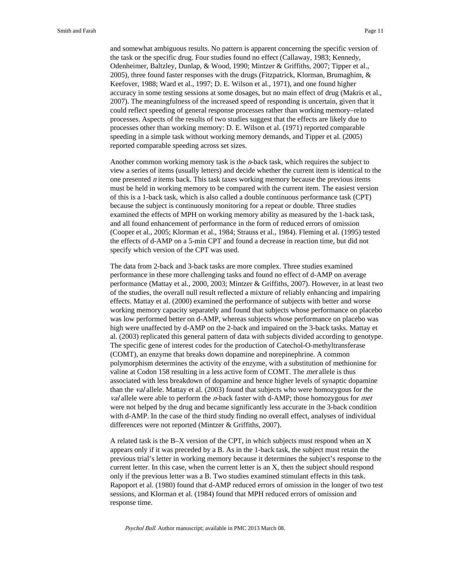and somewhat ambiguous results. No pattern is apparent concerning the specific version of the task or the specific drug. Four studies found no effect (Callaway, 1983; Kennedy, Odenheimer, Baltzley, Dunlap, & Wood, 1990; Mintzer & Griffiths, 2007; Tipper et al., 2005), three found faster responses with the drugs (Fitzpatrick, Klorman, Brumaghim, & Keefover, 1988; Ward et al., 1997; D. E. Wilson et al., 1971), and one found higher accuracy in some testing sessions at some dosages, but no main effect of drug (Makris et al., 2007). The meaningfulness of the increased speed of responding is uncertain, given that it could reflect speeding of general response processes rather than working memory–related processes. Aspects of the results of two studies suggest that the effects are likely due to processes other than working memory: D. E. Wilson et al. (1971) reported comparable speeding in a simple task without working memory demands, and Tipper et al. (2005) reported comparable speeding across set sizes.

Another common working memory task is the n-back task, which requires the subject to view a series of items (usually letters) and decide whether the current item is identical to the one presented  $n$  items back. This task taxes working memory because the previous items must be held in working memory to be compared with the current item. The easiest version of this is a 1-back task, which is also called a double continuous performance task (CPT) because the subject is continuously monitoring for a repeat or double. Three studies examined the effects of MPH on working memory ability as measured by the 1-back task, and all found enhancement of performance in the form of reduced errors of omission (Cooper et al., 2005; Klorman et al., 1984; Strauss et al., 1984). Fleming et al. (1995) tested the effects of d-AMP on a 5-min CPT and found a decrease in reaction time, but did not specify which version of the CPT was used.

The data from 2-back and 3-back tasks are more complex. Three studies examined performance in these more challenging tasks and found no effect of d-AMP on average performance (Mattay et al., 2000, 2003; Mintzer & Griffiths, 2007). However, in at least two of the studies, the overall null result reflected a mixture of reliably enhancing and impairing effects. Mattay et al. (2000) examined the performance of subjects with better and worse working memory capacity separately and found that subjects whose performance on placebo was low performed better on d-AMP, whereas subjects whose performance on placebo was high were unaffected by d-AMP on the 2-back and impaired on the 3-back tasks. Mattay et al. (2003) replicated this general pattern of data with subjects divided according to genotype. The specific gene of interest codes for the production of Catechol-O-methyltransferase (COMT), an enzyme that breaks down dopamine and norepinephrine. A common polymorphism determines the activity of the enzyme, with a substitution of methionine for valine at Codon 158 resulting in a less active form of COMT. The met allele is thus associated with less breakdown of dopamine and hence higher levels of synaptic dopamine than the val allele. Mattay et al. (2003) found that subjects who were homozygous for the *val* allele were able to perform the  $n$ -back faster with d-AMP; those homozygous for  $met$ were not helped by the drug and became significantly less accurate in the 3-back condition with d-AMP. In the case of the third study finding no overall effect, analyses of individual differences were not reported (Mintzer & Griffiths, 2007).

A related task is the B–X version of the CPT, in which subjects must respond when an X appears only if it was preceded by a B. As in the 1-back task, the subject must retain the previous trial's letter in working memory because it determines the subject's response to the current letter. In this case, when the current letter is an X, then the subject should respond only if the previous letter was a B. Two studies examined stimulant effects in this task. Rapoport et al. (1980) found that d-AMP reduced errors of omission in the longer of two test sessions, and Klorman et al. (1984) found that MPH reduced errors of omission and response time.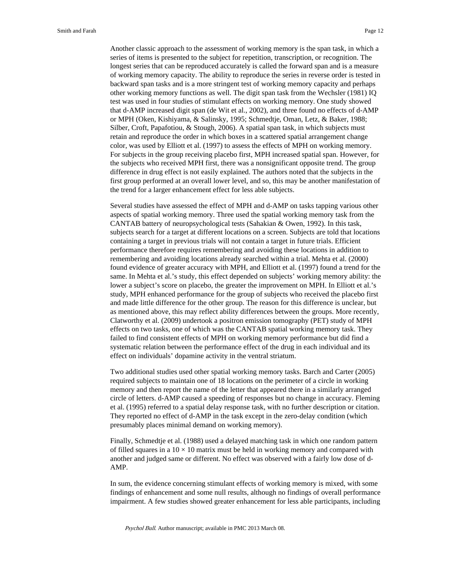Another classic approach to the assessment of working memory is the span task, in which a series of items is presented to the subject for repetition, transcription, or recognition. The longest series that can be reproduced accurately is called the forward span and is a measure of working memory capacity. The ability to reproduce the series in reverse order is tested in backward span tasks and is a more stringent test of working memory capacity and perhaps other working memory functions as well. The digit span task from the Wechsler (1981) IQ test was used in four studies of stimulant effects on working memory. One study showed that d-AMP increased digit span (de Wit et al., 2002), and three found no effects of d-AMP or MPH (Oken, Kishiyama, & Salinsky, 1995; Schmedtje, Oman, Letz, & Baker, 1988; Silber, Croft, Papafotiou, & Stough, 2006). A spatial span task, in which subjects must retain and reproduce the order in which boxes in a scattered spatial arrangement change color, was used by Elliott et al. (1997) to assess the effects of MPH on working memory. For subjects in the group receiving placebo first, MPH increased spatial span. However, for the subjects who received MPH first, there was a nonsignificant opposite trend. The group difference in drug effect is not easily explained. The authors noted that the subjects in the first group performed at an overall lower level, and so, this may be another manifestation of the trend for a larger enhancement effect for less able subjects.

Several studies have assessed the effect of MPH and d-AMP on tasks tapping various other aspects of spatial working memory. Three used the spatial working memory task from the CANTAB battery of neuropsychological tests (Sahakian & Owen, 1992). In this task, subjects search for a target at different locations on a screen. Subjects are told that locations containing a target in previous trials will not contain a target in future trials. Efficient performance therefore requires remembering and avoiding these locations in addition to remembering and avoiding locations already searched within a trial. Mehta et al. (2000) found evidence of greater accuracy with MPH, and Elliott et al. (1997) found a trend for the same. In Mehta et al.'s study, this effect depended on subjects' working memory ability: the lower a subject's score on placebo, the greater the improvement on MPH. In Elliott et al.'s study, MPH enhanced performance for the group of subjects who received the placebo first and made little difference for the other group. The reason for this difference is unclear, but as mentioned above, this may reflect ability differences between the groups. More recently, Clatworthy et al. (2009) undertook a positron emission tomography (PET) study of MPH effects on two tasks, one of which was the CANTAB spatial working memory task. They failed to find consistent effects of MPH on working memory performance but did find a systematic relation between the performance effect of the drug in each individual and its effect on individuals' dopamine activity in the ventral striatum.

Two additional studies used other spatial working memory tasks. Barch and Carter (2005) required subjects to maintain one of 18 locations on the perimeter of a circle in working memory and then report the name of the letter that appeared there in a similarly arranged circle of letters. d-AMP caused a speeding of responses but no change in accuracy. Fleming et al. (1995) referred to a spatial delay response task, with no further description or citation. They reported no effect of d-AMP in the task except in the zero-delay condition (which presumably places minimal demand on working memory).

Finally, Schmedtje et al. (1988) used a delayed matching task in which one random pattern of filled squares in a  $10 \times 10$  matrix must be held in working memory and compared with another and judged same or different. No effect was observed with a fairly low dose of d-AMP.

In sum, the evidence concerning stimulant effects of working memory is mixed, with some findings of enhancement and some null results, although no findings of overall performance impairment. A few studies showed greater enhancement for less able participants, including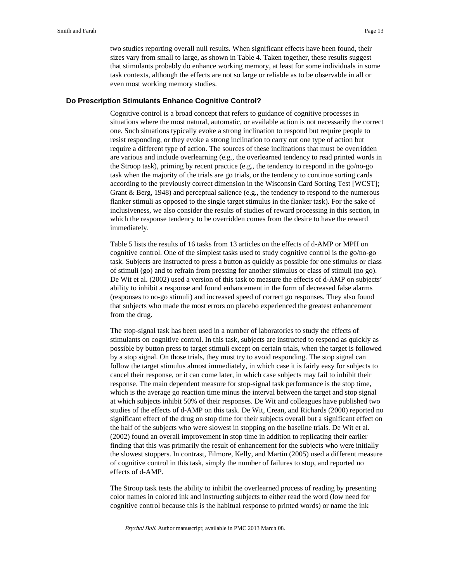two studies reporting overall null results. When significant effects have been found, their sizes vary from small to large, as shown in Table 4. Taken together, these results suggest that stimulants probably do enhance working memory, at least for some individuals in some task contexts, although the effects are not so large or reliable as to be observable in all or even most working memory studies.

#### **Do Prescription Stimulants Enhance Cognitive Control?**

Cognitive control is a broad concept that refers to guidance of cognitive processes in situations where the most natural, automatic, or available action is not necessarily the correct one. Such situations typically evoke a strong inclination to respond but require people to resist responding, or they evoke a strong inclination to carry out one type of action but require a different type of action. The sources of these inclinations that must be overridden are various and include overlearning (e.g., the overlearned tendency to read printed words in the Stroop task), priming by recent practice (e.g., the tendency to respond in the go/no-go task when the majority of the trials are go trials, or the tendency to continue sorting cards according to the previously correct dimension in the Wisconsin Card Sorting Test [WCST]; Grant & Berg, 1948) and perceptual salience (e.g., the tendency to respond to the numerous flanker stimuli as opposed to the single target stimulus in the flanker task). For the sake of inclusiveness, we also consider the results of studies of reward processing in this section, in which the response tendency to be overridden comes from the desire to have the reward immediately.

Table 5 lists the results of 16 tasks from 13 articles on the effects of d-AMP or MPH on cognitive control. One of the simplest tasks used to study cognitive control is the go/no-go task. Subjects are instructed to press a button as quickly as possible for one stimulus or class of stimuli (go) and to refrain from pressing for another stimulus or class of stimuli (no go). De Wit et al. (2002) used a version of this task to measure the effects of d-AMP on subjects' ability to inhibit a response and found enhancement in the form of decreased false alarms (responses to no-go stimuli) and increased speed of correct go responses. They also found that subjects who made the most errors on placebo experienced the greatest enhancement from the drug.

The stop-signal task has been used in a number of laboratories to study the effects of stimulants on cognitive control. In this task, subjects are instructed to respond as quickly as possible by button press to target stimuli except on certain trials, when the target is followed by a stop signal. On those trials, they must try to avoid responding. The stop signal can follow the target stimulus almost immediately, in which case it is fairly easy for subjects to cancel their response, or it can come later, in which case subjects may fail to inhibit their response. The main dependent measure for stop-signal task performance is the stop time, which is the average go reaction time minus the interval between the target and stop signal at which subjects inhibit 50% of their responses. De Wit and colleagues have published two studies of the effects of d-AMP on this task. De Wit, Crean, and Richards (2000) reported no significant effect of the drug on stop time for their subjects overall but a significant effect on the half of the subjects who were slowest in stopping on the baseline trials. De Wit et al. (2002) found an overall improvement in stop time in addition to replicating their earlier finding that this was primarily the result of enhancement for the subjects who were initially the slowest stoppers. In contrast, Filmore, Kelly, and Martin (2005) used a different measure of cognitive control in this task, simply the number of failures to stop, and reported no effects of d-AMP.

The Stroop task tests the ability to inhibit the overlearned process of reading by presenting color names in colored ink and instructing subjects to either read the word (low need for cognitive control because this is the habitual response to printed words) or name the ink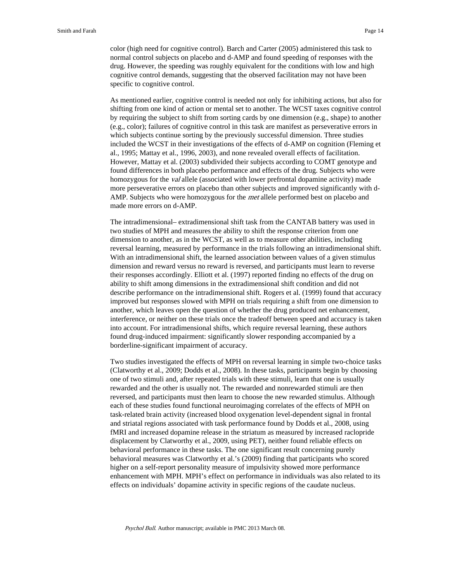color (high need for cognitive control). Barch and Carter (2005) administered this task to normal control subjects on placebo and d-AMP and found speeding of responses with the drug. However, the speeding was roughly equivalent for the conditions with low and high cognitive control demands, suggesting that the observed facilitation may not have been specific to cognitive control.

As mentioned earlier, cognitive control is needed not only for inhibiting actions, but also for shifting from one kind of action or mental set to another. The WCST taxes cognitive control by requiring the subject to shift from sorting cards by one dimension (e.g., shape) to another (e.g., color); failures of cognitive control in this task are manifest as perseverative errors in which subjects continue sorting by the previously successful dimension. Three studies included the WCST in their investigations of the effects of d-AMP on cognition (Fleming et al., 1995; Mattay et al., 1996, 2003), and none revealed overall effects of facilitation. However, Mattay et al. (2003) subdivided their subjects according to COMT genotype and found differences in both placebo performance and effects of the drug. Subjects who were homozygous for the *val* allele (associated with lower prefrontal dopamine activity) made more perseverative errors on placebo than other subjects and improved significantly with d-AMP. Subjects who were homozygous for the *met* allele performed best on placebo and made more errors on d-AMP.

The intradimensional– extradimensional shift task from the CANTAB battery was used in two studies of MPH and measures the ability to shift the response criterion from one dimension to another, as in the WCST, as well as to measure other abilities, including reversal learning, measured by performance in the trials following an intradimensional shift. With an intradimensional shift, the learned association between values of a given stimulus dimension and reward versus no reward is reversed, and participants must learn to reverse their responses accordingly. Elliott et al. (1997) reported finding no effects of the drug on ability to shift among dimensions in the extradimensional shift condition and did not describe performance on the intradimensional shift. Rogers et al. (1999) found that accuracy improved but responses slowed with MPH on trials requiring a shift from one dimension to another, which leaves open the question of whether the drug produced net enhancement, interference, or neither on these trials once the tradeoff between speed and accuracy is taken into account. For intradimensional shifts, which require reversal learning, these authors found drug-induced impairment: significantly slower responding accompanied by a borderline-significant impairment of accuracy.

Two studies investigated the effects of MPH on reversal learning in simple two-choice tasks (Clatworthy et al., 2009; Dodds et al., 2008). In these tasks, participants begin by choosing one of two stimuli and, after repeated trials with these stimuli, learn that one is usually rewarded and the other is usually not. The rewarded and nonrewarded stimuli are then reversed, and participants must then learn to choose the new rewarded stimulus. Although each of these studies found functional neuroimaging correlates of the effects of MPH on task-related brain activity (increased blood oxygenation level-dependent signal in frontal and striatal regions associated with task performance found by Dodds et al., 2008, using fMRI and increased dopamine release in the striatum as measured by increased raclopride displacement by Clatworthy et al., 2009, using PET), neither found reliable effects on behavioral performance in these tasks. The one significant result concerning purely behavioral measures was Clatworthy et al.'s (2009) finding that participants who scored higher on a self-report personality measure of impulsivity showed more performance enhancement with MPH. MPH's effect on performance in individuals was also related to its effects on individuals' dopamine activity in specific regions of the caudate nucleus.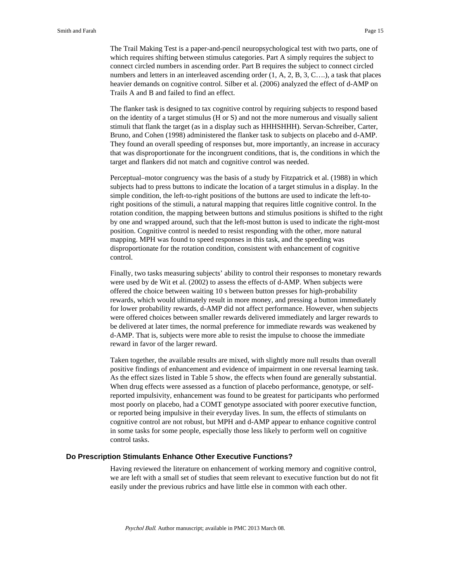The Trail Making Test is a paper-and-pencil neuropsychological test with two parts, one of which requires shifting between stimulus categories. Part A simply requires the subject to connect circled numbers in ascending order. Part B requires the subject to connect circled numbers and letters in an interleaved ascending order  $(1, A, 2, B, 3, C,...)$ , a task that places heavier demands on cognitive control. Silber et al. (2006) analyzed the effect of d-AMP on Trails A and B and failed to find an effect.

The flanker task is designed to tax cognitive control by requiring subjects to respond based on the identity of a target stimulus (H or S) and not the more numerous and visually salient stimuli that flank the target (as in a display such as HHHSHHH). Servan-Schreiber, Carter, Bruno, and Cohen (1998) administered the flanker task to subjects on placebo and d-AMP. They found an overall speeding of responses but, more importantly, an increase in accuracy that was disproportionate for the incongruent conditions, that is, the conditions in which the target and flankers did not match and cognitive control was needed.

Perceptual–motor congruency was the basis of a study by Fitzpatrick et al. (1988) in which subjects had to press buttons to indicate the location of a target stimulus in a display. In the simple condition, the left-to-right positions of the buttons are used to indicate the left-toright positions of the stimuli, a natural mapping that requires little cognitive control. In the rotation condition, the mapping between buttons and stimulus positions is shifted to the right by one and wrapped around, such that the left-most button is used to indicate the right-most position. Cognitive control is needed to resist responding with the other, more natural mapping. MPH was found to speed responses in this task, and the speeding was disproportionate for the rotation condition, consistent with enhancement of cognitive control.

Finally, two tasks measuring subjects' ability to control their responses to monetary rewards were used by de Wit et al. (2002) to assess the effects of d-AMP. When subjects were offered the choice between waiting 10 s between button presses for high-probability rewards, which would ultimately result in more money, and pressing a button immediately for lower probability rewards, d-AMP did not affect performance. However, when subjects were offered choices between smaller rewards delivered immediately and larger rewards to be delivered at later times, the normal preference for immediate rewards was weakened by d-AMP. That is, subjects were more able to resist the impulse to choose the immediate reward in favor of the larger reward.

Taken together, the available results are mixed, with slightly more null results than overall positive findings of enhancement and evidence of impairment in one reversal learning task. As the effect sizes listed in Table 5 show, the effects when found are generally substantial. When drug effects were assessed as a function of placebo performance, genotype, or selfreported impulsivity, enhancement was found to be greatest for participants who performed most poorly on placebo, had a COMT genotype associated with poorer executive function, or reported being impulsive in their everyday lives. In sum, the effects of stimulants on cognitive control are not robust, but MPH and d-AMP appear to enhance cognitive control in some tasks for some people, especially those less likely to perform well on cognitive control tasks.

#### **Do Prescription Stimulants Enhance Other Executive Functions?**

Having reviewed the literature on enhancement of working memory and cognitive control, we are left with a small set of studies that seem relevant to executive function but do not fit easily under the previous rubrics and have little else in common with each other.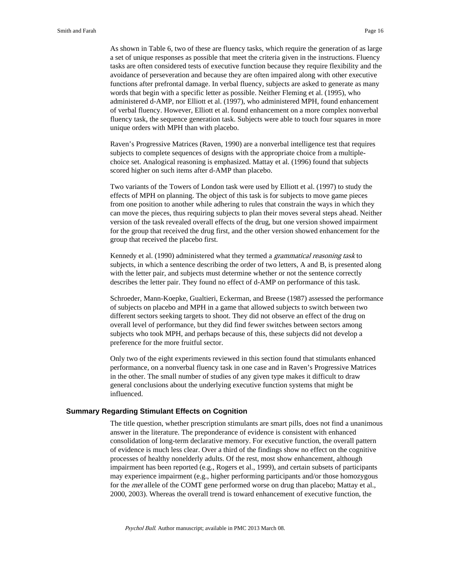As shown in Table 6, two of these are fluency tasks, which require the generation of as large a set of unique responses as possible that meet the criteria given in the instructions. Fluency tasks are often considered tests of executive function because they require flexibility and the avoidance of perseveration and because they are often impaired along with other executive functions after prefrontal damage. In verbal fluency, subjects are asked to generate as many words that begin with a specific letter as possible. Neither Fleming et al. (1995), who administered d-AMP, nor Elliott et al. (1997), who administered MPH, found enhancement of verbal fluency. However, Elliott et al. found enhancement on a more complex nonverbal fluency task, the sequence generation task. Subjects were able to touch four squares in more unique orders with MPH than with placebo.

Raven's Progressive Matrices (Raven, 1990) are a nonverbal intelligence test that requires subjects to complete sequences of designs with the appropriate choice from a multiplechoice set. Analogical reasoning is emphasized. Mattay et al. (1996) found that subjects scored higher on such items after d-AMP than placebo.

Two variants of the Towers of London task were used by Elliott et al. (1997) to study the effects of MPH on planning. The object of this task is for subjects to move game pieces from one position to another while adhering to rules that constrain the ways in which they can move the pieces, thus requiring subjects to plan their moves several steps ahead. Neither version of the task revealed overall effects of the drug, but one version showed impairment for the group that received the drug first, and the other version showed enhancement for the group that received the placebo first.

Kennedy et al. (1990) administered what they termed a grammatical reasoning task to subjects, in which a sentence describing the order of two letters, A and B, is presented along with the letter pair, and subjects must determine whether or not the sentence correctly describes the letter pair. They found no effect of d-AMP on performance of this task.

Schroeder, Mann-Koepke, Gualtieri, Eckerman, and Breese (1987) assessed the performance of subjects on placebo and MPH in a game that allowed subjects to switch between two different sectors seeking targets to shoot. They did not observe an effect of the drug on overall level of performance, but they did find fewer switches between sectors among subjects who took MPH, and perhaps because of this, these subjects did not develop a preference for the more fruitful sector.

Only two of the eight experiments reviewed in this section found that stimulants enhanced performance, on a nonverbal fluency task in one case and in Raven's Progressive Matrices in the other. The small number of studies of any given type makes it difficult to draw general conclusions about the underlying executive function systems that might be influenced.

#### **Summary Regarding Stimulant Effects on Cognition**

The title question, whether prescription stimulants are smart pills, does not find a unanimous answer in the literature. The preponderance of evidence is consistent with enhanced consolidation of long-term declarative memory. For executive function, the overall pattern of evidence is much less clear. Over a third of the findings show no effect on the cognitive processes of healthy nonelderly adults. Of the rest, most show enhancement, although impairment has been reported (e.g., Rogers et al., 1999), and certain subsets of participants may experience impairment (e.g., higher performing participants and/or those homozygous for the *met* allele of the COMT gene performed worse on drug than placebo; Mattay et al., 2000, 2003). Whereas the overall trend is toward enhancement of executive function, the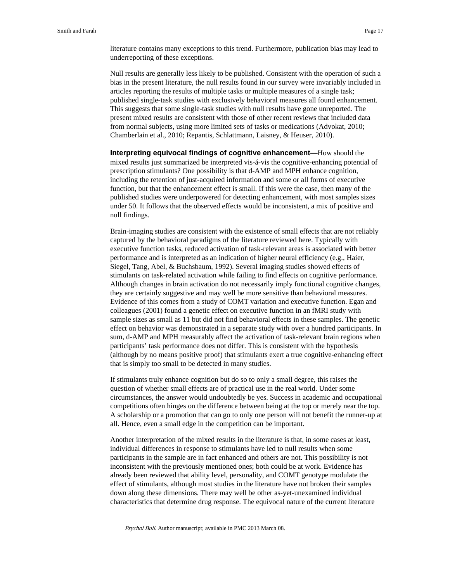literature contains many exceptions to this trend. Furthermore, publication bias may lead to underreporting of these exceptions.

Null results are generally less likely to be published. Consistent with the operation of such a bias in the present literature, the null results found in our survey were invariably included in articles reporting the results of multiple tasks or multiple measures of a single task; published single-task studies with exclusively behavioral measures all found enhancement. This suggests that some single-task studies with null results have gone unreported. The present mixed results are consistent with those of other recent reviews that included data from normal subjects, using more limited sets of tasks or medications (Advokat, 2010; Chamberlain et al., 2010; Repantis, Schlattmann, Laisney, & Heuser, 2010).

**Interpreting equivocal findings of cognitive enhancement—**How should the mixed results just summarized be interpreted vis-á-vis the cognitive-enhancing potential of prescription stimulants? One possibility is that d-AMP and MPH enhance cognition, including the retention of just-acquired information and some or all forms of executive function, but that the enhancement effect is small. If this were the case, then many of the published studies were underpowered for detecting enhancement, with most samples sizes under 50. It follows that the observed effects would be inconsistent, a mix of positive and null findings.

Brain-imaging studies are consistent with the existence of small effects that are not reliably captured by the behavioral paradigms of the literature reviewed here. Typically with executive function tasks, reduced activation of task-relevant areas is associated with better performance and is interpreted as an indication of higher neural efficiency (e.g., Haier, Siegel, Tang, Abel, & Buchsbaum, 1992). Several imaging studies showed effects of stimulants on task-related activation while failing to find effects on cognitive performance. Although changes in brain activation do not necessarily imply functional cognitive changes, they are certainly suggestive and may well be more sensitive than behavioral measures. Evidence of this comes from a study of COMT variation and executive function. Egan and colleagues (2001) found a genetic effect on executive function in an fMRI study with sample sizes as small as 11 but did not find behavioral effects in these samples. The genetic effect on behavior was demonstrated in a separate study with over a hundred participants. In sum, d-AMP and MPH measurably affect the activation of task-relevant brain regions when participants' task performance does not differ. This is consistent with the hypothesis (although by no means positive proof) that stimulants exert a true cognitive-enhancing effect that is simply too small to be detected in many studies.

If stimulants truly enhance cognition but do so to only a small degree, this raises the question of whether small effects are of practical use in the real world. Under some circumstances, the answer would undoubtedly be yes. Success in academic and occupational competitions often hinges on the difference between being at the top or merely near the top. A scholarship or a promotion that can go to only one person will not benefit the runner-up at all. Hence, even a small edge in the competition can be important.

Another interpretation of the mixed results in the literature is that, in some cases at least, individual differences in response to stimulants have led to null results when some participants in the sample are in fact enhanced and others are not. This possibility is not inconsistent with the previously mentioned ones; both could be at work. Evidence has already been reviewed that ability level, personality, and COMT genotype modulate the effect of stimulants, although most studies in the literature have not broken their samples down along these dimensions. There may well be other as-yet-unexamined individual characteristics that determine drug response. The equivocal nature of the current literature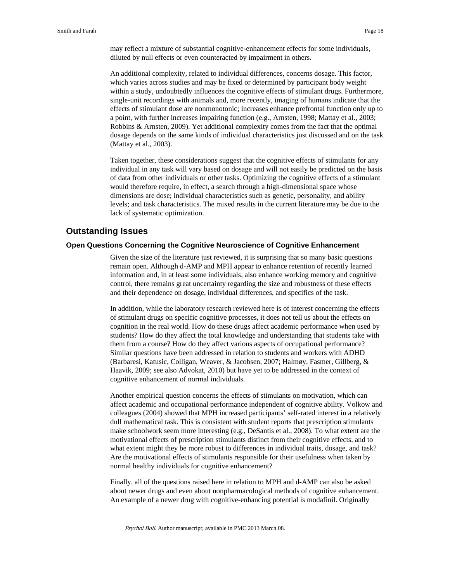may reflect a mixture of substantial cognitive-enhancement effects for some individuals, diluted by null effects or even counteracted by impairment in others.

An additional complexity, related to individual differences, concerns dosage. This factor, which varies across studies and may be fixed or determined by participant body weight within a study, undoubtedly influences the cognitive effects of stimulant drugs. Furthermore, single-unit recordings with animals and, more recently, imaging of humans indicate that the effects of stimulant dose are nonmonotonic; increases enhance prefrontal function only up to a point, with further increases impairing function (e.g., Arnsten, 1998; Mattay et al., 2003; Robbins & Arnsten, 2009). Yet additional complexity comes from the fact that the optimal dosage depends on the same kinds of individual characteristics just discussed and on the task (Mattay et al., 2003).

Taken together, these considerations suggest that the cognitive effects of stimulants for any individual in any task will vary based on dosage and will not easily be predicted on the basis of data from other individuals or other tasks. Optimizing the cognitive effects of a stimulant would therefore require, in effect, a search through a high-dimensional space whose dimensions are dose; individual characteristics such as genetic, personality, and ability levels; and task characteristics. The mixed results in the current literature may be due to the lack of systematic optimization.

#### **Outstanding Issues**

#### **Open Questions Concerning the Cognitive Neuroscience of Cognitive Enhancement**

Given the size of the literature just reviewed, it is surprising that so many basic questions remain open. Although d-AMP and MPH appear to enhance retention of recently learned information and, in at least some individuals, also enhance working memory and cognitive control, there remains great uncertainty regarding the size and robustness of these effects and their dependence on dosage, individual differences, and specifics of the task.

In addition, while the laboratory research reviewed here is of interest concerning the effects of stimulant drugs on specific cognitive processes, it does not tell us about the effects on cognition in the real world. How do these drugs affect academic performance when used by students? How do they affect the total knowledge and understanding that students take with them from a course? How do they affect various aspects of occupational performance? Similar questions have been addressed in relation to students and workers with ADHD (Barbaresi, Katusic, Colligan, Weaver, & Jacobsen, 2007; Halmøy, Fasmer, Gillberg, & Haavik, 2009; see also Advokat, 2010) but have yet to be addressed in the context of cognitive enhancement of normal individuals.

Another empirical question concerns the effects of stimulants on motivation, which can affect academic and occupational performance independent of cognitive ability. Volkow and colleagues (2004) showed that MPH increased participants' self-rated interest in a relatively dull mathematical task. This is consistent with student reports that prescription stimulants make schoolwork seem more interesting (e.g., DeSantis et al., 2008). To what extent are the motivational effects of prescription stimulants distinct from their cognitive effects, and to what extent might they be more robust to differences in individual traits, dosage, and task? Are the motivational effects of stimulants responsible for their usefulness when taken by normal healthy individuals for cognitive enhancement?

Finally, all of the questions raised here in relation to MPH and d-AMP can also be asked about newer drugs and even about nonpharmacological methods of cognitive enhancement. An example of a newer drug with cognitive-enhancing potential is modafinil. Originally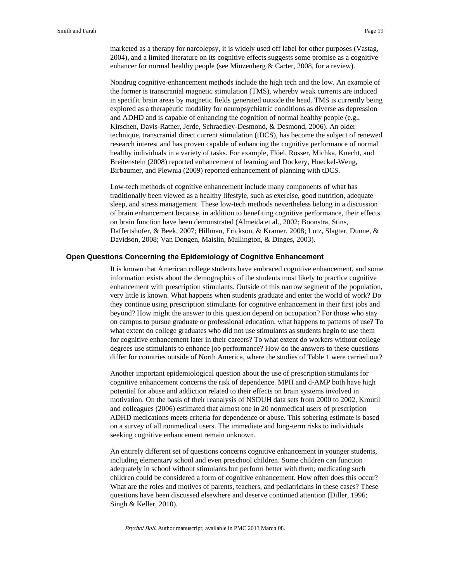marketed as a therapy for narcolepsy, it is widely used off label for other purposes (Vastag, 2004), and a limited literature on its cognitive effects suggests some promise as a cognitive enhancer for normal healthy people (see Minzenberg & Carter, 2008, for a review).

Nondrug cognitive-enhancement methods include the high tech and the low. An example of the former is transcranial magnetic stimulation (TMS), whereby weak currents are induced in specific brain areas by magnetic fields generated outside the head. TMS is currently being explored as a therapeutic modality for neuropsychiatric conditions as diverse as depression and ADHD and is capable of enhancing the cognition of normal healthy people (e.g., Kirschen, Davis-Ratner, Jerde, Schraedley-Desmond, & Desmond, 2006). An older technique, transcranial direct current stimulation (tDCS), has become the subject of renewed research interest and has proven capable of enhancing the cognitive performance of normal healthy individuals in a variety of tasks. For example, Flöel, Rösser, Michka, Knecht, and Breitenstein (2008) reported enhancement of learning and Dockery, Hueckel-Weng, Birbaumer, and Plewnia (2009) reported enhancement of planning with tDCS.

Low-tech methods of cognitive enhancement include many components of what has traditionally been viewed as a healthy lifestyle, such as exercise, good nutrition, adequate sleep, and stress management. These low-tech methods nevertheless belong in a discussion of brain enhancement because, in addition to benefiting cognitive performance, their effects on brain function have been demonstrated (Almeida et al., 2002; Boonstra, Stins, Daffertshofer, & Beek, 2007; Hillman, Erickson, & Kramer, 2008; Lutz, Slagter, Dunne, & Davidson, 2008; Van Dongen, Maislin, Mullington, & Dinges, 2003).

#### **Open Questions Concerning the Epidemiology of Cognitive Enhancement**

It is known that American college students have embraced cognitive enhancement, and some information exists about the demographics of the students most likely to practice cognitive enhancement with prescription stimulants. Outside of this narrow segment of the population, very little is known. What happens when students graduate and enter the world of work? Do they continue using prescription stimulants for cognitive enhancement in their first jobs and beyond? How might the answer to this question depend on occupation? For those who stay on campus to pursue graduate or professional education, what happens to patterns of use? To what extent do college graduates who did not use stimulants as students begin to use them for cognitive enhancement later in their careers? To what extent do workers without college degrees use stimulants to enhance job performance? How do the answers to these questions differ for countries outside of North America, where the studies of Table 1 were carried out?

Another important epidemiological question about the use of prescription stimulants for cognitive enhancement concerns the risk of dependence. MPH and d-AMP both have high potential for abuse and addiction related to their effects on brain systems involved in motivation. On the basis of their reanalysis of NSDUH data sets from 2000 to 2002, Kroutil and colleagues (2006) estimated that almost one in 20 nonmedical users of prescription ADHD medications meets criteria for dependence or abuse. This sobering estimate is based on a survey of all nonmedical users. The immediate and long-term risks to individuals seeking cognitive enhancement remain unknown.

An entirely different set of questions concerns cognitive enhancement in younger students, including elementary school and even preschool children. Some children can function adequately in school without stimulants but perform better with them; medicating such children could be considered a form of cognitive enhancement. How often does this occur? What are the roles and motives of parents, teachers, and pediatricians in these cases? These questions have been discussed elsewhere and deserve continued attention (Diller, 1996; Singh & Keller, 2010).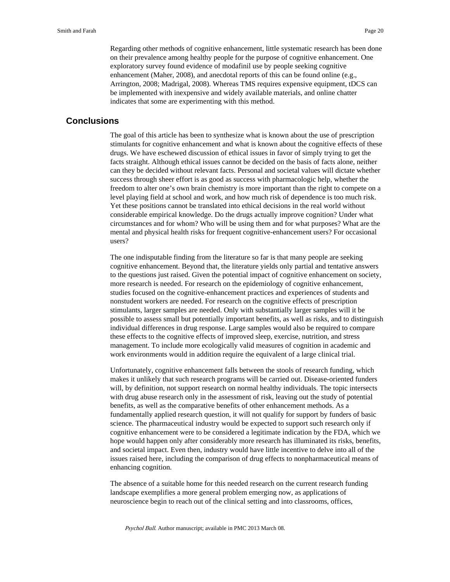Regarding other methods of cognitive enhancement, little systematic research has been done on their prevalence among healthy people for the purpose of cognitive enhancement. One exploratory survey found evidence of modafinil use by people seeking cognitive enhancement (Maher, 2008), and anecdotal reports of this can be found online (e.g., Arrington, 2008; Madrigal, 2008). Whereas TMS requires expensive equipment, tDCS can be implemented with inexpensive and widely available materials, and online chatter indicates that some are experimenting with this method.

## **Conclusions**

The goal of this article has been to synthesize what is known about the use of prescription stimulants for cognitive enhancement and what is known about the cognitive effects of these drugs. We have eschewed discussion of ethical issues in favor of simply trying to get the facts straight. Although ethical issues cannot be decided on the basis of facts alone, neither can they be decided without relevant facts. Personal and societal values will dictate whether success through sheer effort is as good as success with pharmacologic help, whether the freedom to alter one's own brain chemistry is more important than the right to compete on a level playing field at school and work, and how much risk of dependence is too much risk. Yet these positions cannot be translated into ethical decisions in the real world without considerable empirical knowledge. Do the drugs actually improve cognition? Under what circumstances and for whom? Who will be using them and for what purposes? What are the mental and physical health risks for frequent cognitive-enhancement users? For occasional users?

The one indisputable finding from the literature so far is that many people are seeking cognitive enhancement. Beyond that, the literature yields only partial and tentative answers to the questions just raised. Given the potential impact of cognitive enhancement on society, more research is needed. For research on the epidemiology of cognitive enhancement, studies focused on the cognitive-enhancement practices and experiences of students and nonstudent workers are needed. For research on the cognitive effects of prescription stimulants, larger samples are needed. Only with substantially larger samples will it be possible to assess small but potentially important benefits, as well as risks, and to distinguish individual differences in drug response. Large samples would also be required to compare these effects to the cognitive effects of improved sleep, exercise, nutrition, and stress management. To include more ecologically valid measures of cognition in academic and work environments would in addition require the equivalent of a large clinical trial.

Unfortunately, cognitive enhancement falls between the stools of research funding, which makes it unlikely that such research programs will be carried out. Disease-oriented funders will, by definition, not support research on normal healthy individuals. The topic intersects with drug abuse research only in the assessment of risk, leaving out the study of potential benefits, as well as the comparative benefits of other enhancement methods. As a fundamentally applied research question, it will not qualify for support by funders of basic science. The pharmaceutical industry would be expected to support such research only if cognitive enhancement were to be considered a legitimate indication by the FDA, which we hope would happen only after considerably more research has illuminated its risks, benefits, and societal impact. Even then, industry would have little incentive to delve into all of the issues raised here, including the comparison of drug effects to nonpharmaceutical means of enhancing cognition.

The absence of a suitable home for this needed research on the current research funding landscape exemplifies a more general problem emerging now, as applications of neuroscience begin to reach out of the clinical setting and into classrooms, offices,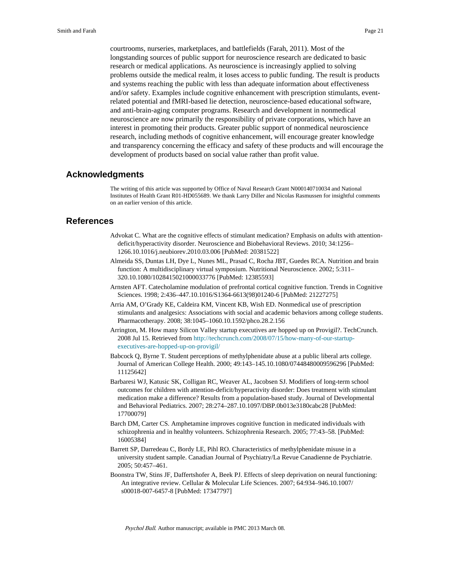courtrooms, nurseries, marketplaces, and battlefields (Farah, 2011). Most of the longstanding sources of public support for neuroscience research are dedicated to basic research or medical applications. As neuroscience is increasingly applied to solving problems outside the medical realm, it loses access to public funding. The result is products and systems reaching the public with less than adequate information about effectiveness and/or safety. Examples include cognitive enhancement with prescription stimulants, eventrelated potential and fMRI-based lie detection, neuroscience-based educational software, and anti-brain-aging computer programs. Research and development in nonmedical neuroscience are now primarily the responsibility of private corporations, which have an interest in promoting their products. Greater public support of nonmedical neuroscience research, including methods of cognitive enhancement, will encourage greater knowledge and transparency concerning the efficacy and safety of these products and will encourage the development of products based on social value rather than profit value.

#### **Acknowledgments**

The writing of this article was supported by Office of Naval Research Grant N000140710034 and National Institutes of Health Grant R01-HD055689. We thank Larry Diller and Nicolas Rasmussen for insightful comments on an earlier version of this article.

#### **References**

- Advokat C. What are the cognitive effects of stimulant medication? Emphasis on adults with attentiondeficit/hyperactivity disorder. Neuroscience and Biobehavioral Reviews. 2010; 34:1256– 1266.10.1016/j.neubiorev.2010.03.006 [PubMed: 20381522]
- Almeida SS, Duntas LH, Dye L, Nunes ML, Prasad C, Rocha JBT, Guedes RCA. Nutrition and brain function: A multidisciplinary virtual symposium. Nutritional Neuroscience. 2002; 5:311– 320.10.1080/1028415021000033776 [PubMed: 12385593]
- Arnsten AFT. Catecholamine modulation of prefrontal cortical cognitive function. Trends in Cognitive Sciences. 1998; 2:436–447.10.1016/S1364-6613(98)01240-6 [PubMed: 21227275]
- Arria AM, O'Grady KE, Caldeira KM, Vincent KB, Wish ED. Nonmedical use of prescription stimulants and analgesics: Associations with social and academic behaviors among college students. Pharmacotherapy. 2008; 38:1045–1060.10.1592/phco.28.2.156
- Arrington, M. How many Silicon Valley startup executives are hopped up on Provigil?. TechCrunch. 2008 Jul 15. Retrieved from [http://techcrunch.com/2008/07/15/how-many-of-our-startup](http://techcrunch.com/2008/07/15/how-many-of-our-startup-executives-are-hopped-up-on-provigil/)[executives-are-hopped-up-on-provigil/](http://techcrunch.com/2008/07/15/how-many-of-our-startup-executives-are-hopped-up-on-provigil/)
- Babcock Q, Byrne T. Student perceptions of methylphenidate abuse at a public liberal arts college. Journal of American College Health. 2000; 49:143–145.10.1080/07448480009596296 [PubMed: 11125642]
- Barbaresi WJ, Katusic SK, Colligan RC, Weaver AL, Jacobsen SJ. Modifiers of long-term school outcomes for children with attention-deficit/hyperactivity disorder: Does treatment with stimulant medication make a difference? Results from a population-based study. Journal of Developmental and Behavioral Pediatrics. 2007; 28:274–287.10.1097/DBP.0b013e3180cabc28 [PubMed: 17700079]
- Barch DM, Carter CS. Amphetamine improves cognitive function in medicated individuals with schizophrenia and in healthy volunteers. Schizophrenia Research. 2005; 77:43–58. [PubMed: 16005384]
- Barrett SP, Darredeau C, Bordy LE, Pihl RO. Characteristics of methylphenidate misuse in a university student sample. Canadian Journal of Psychiatry/La Revue Canadienne de Psychiatrie. 2005; 50:457–461.
- Boonstra TW, Stins JF, Daffertshofer A, Beek PJ. Effects of sleep deprivation on neural functioning: An integrative review. Cellular & Molecular Life Sciences. 2007; 64:934–946.10.1007/ s00018-007-6457-8 [PubMed: 17347797]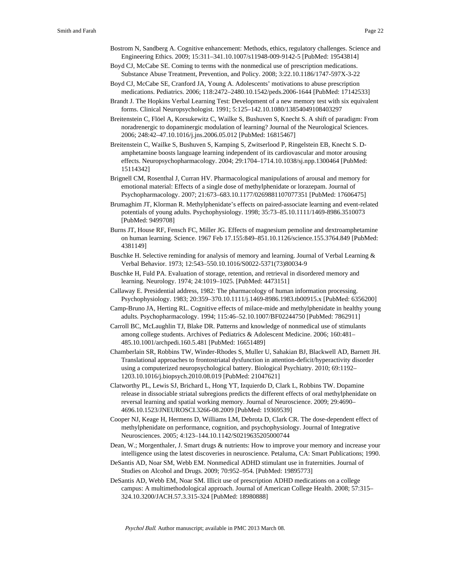- Bostrom N, Sandberg A. Cognitive enhancement: Methods, ethics, regulatory challenges. Science and Engineering Ethics. 2009; 15:311–341.10.1007/s11948-009-9142-5 [PubMed: 19543814]
- Boyd CJ, McCabe SE. Coming to terms with the nonmedical use of prescription medications. Substance Abuse Treatment, Prevention, and Policy. 2008; 3:22.10.1186/1747-597X-3-22
- Boyd CJ, McCabe SE, Cranford JA, Young A. Adolescents' motivations to abuse prescription medications. Pediatrics. 2006; 118:2472–2480.10.1542/peds.2006-1644 [PubMed: 17142533]
- Brandt J. The Hopkins Verbal Learning Test: Development of a new memory test with six equivalent forms. Clinical Neuropsychologist. 1991; 5:125–142.10.1080/13854049108403297
- Breitenstein C, Flöel A, Korsukewitz C, Wailke S, Bushuven S, Knecht S. A shift of paradigm: From noradrenergic to dopaminergic modulation of learning? Journal of the Neurological Sciences. 2006; 248:42–47.10.1016/j.jns.2006.05.012 [PubMed: 16815467]
- Breitenstein C, Wailke S, Bushuven S, Kamping S, Zwitserlood P, Ringelstein EB, Knecht S. Damphetamine boosts language learning independent of its cardiovascular and motor arousing effects. Neuropsychopharmacology. 2004; 29:1704–1714.10.1038/sj.npp.1300464 [PubMed: 15114342]
- Brignell CM, Rosenthal J, Curran HV. Pharmacological manipulations of arousal and memory for emotional material: Effects of a single dose of methylphenidate or lorazepam. Journal of Psychopharmacology. 2007; 21:673–683.10.1177/0269881107077351 [PubMed: 17606475]
- Brumaghim JT, Klorman R. Methylphenidate's effects on paired-associate learning and event-related potentials of young adults. Psychophysiology. 1998; 35:73–85.10.1111/1469-8986.3510073 [PubMed: 9499708]
- Burns JT, House RF, Fensch FC, Miller JG. Effects of magnesium pemoline and dextroamphetamine on human learning. Science. 1967 Feb 17.155:849–851.10.1126/science.155.3764.849 [PubMed: 4381149]
- Buschke H. Selective reminding for analysis of memory and learning. Journal of Verbal Learning & Verbal Behavior. 1973; 12:543–550.10.1016/S0022-5371(73)80034-9
- Buschke H, Fuld PA. Evaluation of storage, retention, and retrieval in disordered memory and learning. Neurology. 1974; 24:1019–1025. [PubMed: 4473151]
- Callaway E. Presidential address, 1982: The pharmacology of human information processing. Psychophysiology. 1983; 20:359–370.10.1111/j.1469-8986.1983.tb00915.x [PubMed: 6356200]
- Camp-Bruno JA, Herting RL. Cognitive effects of milace-mide and methylphenidate in healthy young adults. Psychopharmacology. 1994; 115:46–52.10.1007/BF02244750 [PubMed: 7862911]
- Carroll BC, McLaughlin TJ, Blake DR. Patterns and knowledge of nonmedical use of stimulants among college students. Archives of Pediatrics & Adolescent Medicine. 2006; 160:481– 485.10.1001/archpedi.160.5.481 [PubMed: 16651489]
- Chamberlain SR, Robbins TW, Winder-Rhodes S, Muller U, Sahakian BJ, Blackwell AD, Barnett JH. Translational approaches to frontostriatal dysfunction in attention-deficit/hyperactivity disorder using a computerized neuropsychological battery. Biological Psychiatry. 2010; 69:1192– 1203.10.1016/j.biopsych.2010.08.019 [PubMed: 21047621]
- Clatworthy PL, Lewis SJ, Brichard L, Hong YT, Izquierdo D, Clark L, Robbins TW. Dopamine release in dissociable striatal subregions predicts the different effects of oral methylphenidate on reversal learning and spatial working memory. Journal of Neuroscience. 2009; 29:4690– 4696.10.1523/JNEUROSCI.3266-08.2009 [PubMed: 19369539]
- Cooper NJ, Keage H, Hermens D, Williams LM, Debrota D, Clark CR. The dose-dependent effect of methylphenidate on performance, cognition, and psychophysiology. Journal of Integrative Neurosciences. 2005; 4:123–144.10.1142/S0219635205000744
- Dean, W.; Morgenthaler, J. Smart drugs & nutrients: How to improve your memory and increase your intelligence using the latest discoveries in neuroscience. Petaluma, CA: Smart Publications; 1990.
- DeSantis AD, Noar SM, Webb EM. Nonmedical ADHD stimulant use in fraternities. Journal of Studies on Alcohol and Drugs. 2009; 70:952–954. [PubMed: 19895773]
- DeSantis AD, Webb EM, Noar SM. Illicit use of prescription ADHD medications on a college campus: A multimethodological approach. Journal of American College Health. 2008; 57:315– 324.10.3200/JACH.57.3.315-324 [PubMed: 18980888]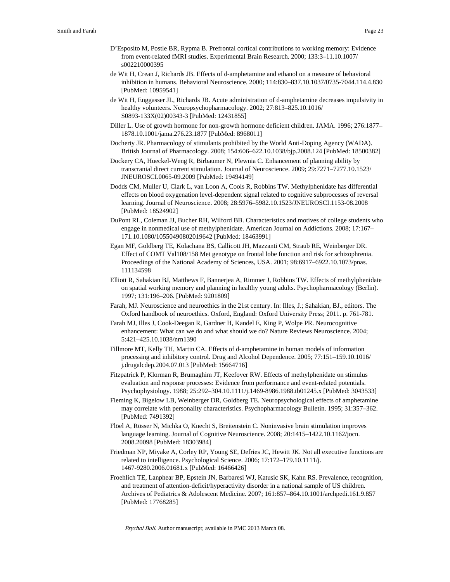- D'Esposito M, Postle BR, Rypma B. Prefrontal cortical contributions to working memory: Evidence from event-related fMRI studies. Experimental Brain Research. 2000; 133:3–11.10.1007/ s002210000395
- de Wit H, Crean J, Richards JB. Effects of d-amphetamine and ethanol on a measure of behavioral inhibition in humans. Behavioral Neuroscience. 2000; 114:830–837.10.1037/0735-7044.114.4.830 [PubMed: 10959541]
- de Wit H, Enggasser JL, Richards JB. Acute administration of d-amphetamine decreases impulsivity in healthy volunteers. Neuropsychopharmacology. 2002; 27:813–825.10.1016/ S0893-133X(02)00343-3 [PubMed: 12431855]
- Diller L. Use of growth hormone for non-growth hormone deficient children. JAMA. 1996; 276:1877– 1878.10.1001/jama.276.23.1877 [PubMed: 8968011]
- Docherty JR. Pharmacology of stimulants prohibited by the World Anti-Doping Agency (WADA). British Journal of Pharmacology. 2008; 154:606–622.10.1038/bjp.2008.124 [PubMed: 18500382]
- Dockery CA, Hueckel-Weng R, Birbaumer N, Plewnia C. Enhancement of planning ability by transcranial direct current stimulation. Journal of Neuroscience. 2009; 29:7271–7277.10.1523/ JNEUROSCI.0065-09.2009 [PubMed: 19494149]
- Dodds CM, Muller U, Clark L, van Loon A, Cools R, Robbins TW. Methylphenidate has differential effects on blood oxygenation level-dependent signal related to cognitive subprocesses of reversal learning. Journal of Neuroscience. 2008; 28:5976–5982.10.1523/JNEUROSCI.1153-08.2008 [PubMed: 18524902]
- DuPont RL, Coleman JJ, Bucher RH, Wilford BB. Characteristics and motives of college students who engage in nonmedical use of methylphenidate. American Journal on Addictions. 2008; 17:167– 171.10.1080/10550490802019642 [PubMed: 18463991]
- Egan MF, Goldberg TE, Kolachana BS, Callicott JH, Mazzanti CM, Straub RE, Weinberger DR. Effect of COMT Val108/158 Met genotype on frontal lobe function and risk for schizophrenia. Proceedings of the National Academy of Sciences, USA. 2001; 98:6917–6922.10.1073/pnas. 111134598
- Elliott R, Sahakian BJ, Matthews F, Bannerjea A, Rimmer J, Robbins TW. Effects of methylphenidate on spatial working memory and planning in healthy young adults. Psychopharmacology (Berlin). 1997; 131:196–206. [PubMed: 9201809]
- Farah, MJ. Neuroscience and neuroethics in the 21st century. In: Illes, J.; Sahakian, BJ., editors. The Oxford handbook of neuroethics. Oxford, England: Oxford University Press; 2011. p. 761-781.
- Farah MJ, Illes J, Cook-Deegan R, Gardner H, Kandel E, King P, Wolpe PR. Neurocognitive enhancement: What can we do and what should we do? Nature Reviews Neuroscience. 2004; 5:421–425.10.1038/nrn1390
- Fillmore MT, Kelly TH, Martin CA. Effects of d-amphetamine in human models of information processing and inhibitory control. Drug and Alcohol Dependence. 2005; 77:151–159.10.1016/ j.drugalcdep.2004.07.013 [PubMed: 15664716]
- Fitzpatrick P, Klorman R, Brumaghim JT, Keefover RW. Effects of methylphenidate on stimulus evaluation and response processes: Evidence from performance and event-related potentials. Psychophysiology. 1988; 25:292–304.10.1111/j.1469-8986.1988.tb01245.x [PubMed: 3043533]
- Fleming K, Bigelow LB, Weinberger DR, Goldberg TE. Neuropsychological effects of amphetamine may correlate with personality characteristics. Psychopharmacology Bulletin. 1995; 31:357–362. [PubMed: 7491392]
- Flöel A, Rösser N, Michka O, Knecht S, Breitenstein C. Noninvasive brain stimulation improves language learning. Journal of Cognitive Neuroscience. 2008; 20:1415–1422.10.1162/jocn. 2008.20098 [PubMed: 18303984]
- Friedman NP, Miyake A, Corley RP, Young SE, Defries JC, Hewitt JK. Not all executive functions are related to intelligence. Psychological Science. 2006; 17:172–179.10.1111/j. 1467-9280.2006.01681.x [PubMed: 16466426]
- Froehlich TE, Lanphear BP, Epstein JN, Barbaresi WJ, Katusic SK, Kahn RS. Prevalence, recognition, and treatment of attention-deficit/hyperactivity disorder in a national sample of US children. Archives of Pediatrics & Adolescent Medicine. 2007; 161:857–864.10.1001/archpedi.161.9.857 [PubMed: 17768285]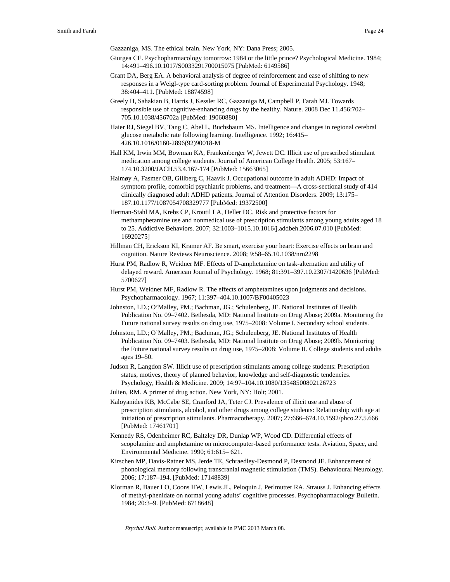Gazzaniga, MS. The ethical brain. New York, NY: Dana Press; 2005.

- Giurgea CE. Psychopharmacology tomorrow: 1984 or the little prince? Psychological Medicine. 1984; 14:491–496.10.1017/S0033291700015075 [PubMed: 6149586]
- Grant DA, Berg EA. A behavioral analysis of degree of reinforcement and ease of shifting to new responses in a Weigl-type card-sorting problem. Journal of Experimental Psychology. 1948; 38:404–411. [PubMed: 18874598]
- Greely H, Sahakian B, Harris J, Kessler RC, Gazzaniga M, Campbell P, Farah MJ. Towards responsible use of cognitive-enhancing drugs by the healthy. Nature. 2008 Dec 11.456:702– 705.10.1038/456702a [PubMed: 19060880]

Haier RJ, Siegel BV, Tang C, Abel L, Buchsbaum MS. Intelligence and changes in regional cerebral glucose metabolic rate following learning. Intelligence. 1992; 16:415– 426.10.1016/0160-2896(92)90018-M

Hall KM, Irwin MM, Bowman KA, Frankenberger W, Jewett DC. Illicit use of prescribed stimulant medication among college students. Journal of American College Health. 2005; 53:167– 174.10.3200/JACH.53.4.167-174 [PubMed: 15663065]

- Halmøy A, Fasmer OB, Gillberg C, Haavik J. Occupational outcome in adult ADHD: Impact of symptom profile, comorbid psychiatric problems, and treatment—A cross-sectional study of 414 clinically diagnosed adult ADHD patients. Journal of Attention Disorders. 2009; 13:175– 187.10.1177/1087054708329777 [PubMed: 19372500]
- Herman-Stahl MA, Krebs CP, Kroutil LA, Heller DC. Risk and protective factors for methamphetamine use and nonmedical use of prescription stimulants among young adults aged 18 to 25. Addictive Behaviors. 2007; 32:1003–1015.10.1016/j.addbeh.2006.07.010 [PubMed: 16920275]
- Hillman CH, Erickson KI, Kramer AF. Be smart, exercise your heart: Exercise effects on brain and cognition. Nature Reviews Neuroscience. 2008; 9:58–65.10.1038/nrn2298
- Hurst PM, Radlow R, Weidner MF. Effects of D-amphetamine on task-alternation and utility of delayed reward. American Journal of Psychology. 1968; 81:391–397.10.2307/1420636 [PubMed: 5700627]
- Hurst PM, Weidner MF, Radlow R. The effects of amphetamines upon judgments and decisions. Psychopharmacology. 1967; 11:397–404.10.1007/BF00405023
- Johnston, LD.; O'Malley, PM.; Bachman, JG.; Schulenberg, JE. National Institutes of Health Publication No. 09–7402. Bethesda, MD: National Institute on Drug Abuse; 2009a. Monitoring the Future national survey results on drug use, 1975–2008: Volume I. Secondary school students.
- Johnston, LD.; O'Malley, PM.; Bachman, JG.; Schulenberg, JE. National Institutes of Health Publication No. 09–7403. Bethesda, MD: National Institute on Drug Abuse; 2009b. Monitoring the Future national survey results on drug use, 1975–2008: Volume II. College students and adults ages 19–50.
- Judson R, Langdon SW. Illicit use of prescription stimulants among college students: Prescription status, motives, theory of planned behavior, knowledge and self-diagnostic tendencies. Psychology, Health & Medicine. 2009; 14:97–104.10.1080/13548500802126723

Julien, RM. A primer of drug action. New York, NY: Holt; 2001.

- Kaloyanides KB, McCabe SE, Cranford JA, Teter CJ. Prevalence of illicit use and abuse of prescription stimulants, alcohol, and other drugs among college students: Relationship with age at initiation of prescription stimulants. Pharmacotherapy. 2007; 27:666–674.10.1592/phco.27.5.666 [PubMed: 17461701]
- Kennedy RS, Odenheimer RC, Baltzley DR, Dunlap WP, Wood CD. Differential effects of scopolamine and amphetamine on microcomputer-based performance tests. Aviation, Space, and Environmental Medicine. 1990; 61:615– 621.
- Kirschen MP, Davis-Ratner MS, Jerde TE, Schraedley-Desmond P, Desmond JE. Enhancement of phonological memory following transcranial magnetic stimulation (TMS). Behavioural Neurology. 2006; 17:187–194. [PubMed: 17148839]
- Klorman R, Bauer LO, Coons HW, Lewis JL, Peloquin J, Perlmutter RA, Strauss J. Enhancing effects of methyl-phenidate on normal young adults' cognitive processes. Psychopharmacology Bulletin. 1984; 20:3–9. [PubMed: 6718648]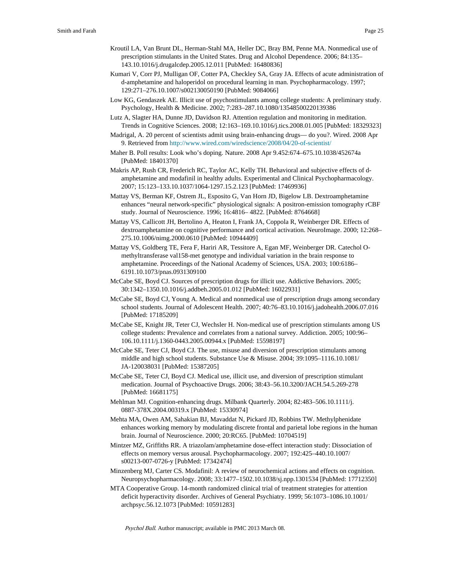- Kroutil LA, Van Brunt DL, Herman-Stahl MA, Heller DC, Bray BM, Penne MA. Nonmedical use of prescription stimulants in the United States. Drug and Alcohol Dependence. 2006; 84:135– 143.10.1016/j.drugalcdep.2005.12.011 [PubMed: 16480836]
- Kumari V, Corr PJ, Mulligan OF, Cotter PA, Checkley SA, Gray JA. Effects of acute administration of d-amphetamine and haloperidol on procedural learning in man. Psychopharmacology. 1997; 129:271–276.10.1007/s002130050190 [PubMed: 9084066]
- Low KG, Gendaszek AE. Illicit use of psychostimulants among college students: A preliminary study. Psychology, Health & Medicine. 2002; 7:283–287.10.1080/13548500220139386
- Lutz A, Slagter HA, Dunne JD, Davidson RJ. Attention regulation and monitoring in meditation. Trends in Cognitive Sciences. 2008; 12:163–169.10.1016/j.tics.2008.01.005 [PubMed: 18329323]
- Madrigal, A. 20 percent of scientists admit using brain-enhancing drugs— do you?. Wired. 2008 Apr 9. Retrieved from <http://www.wired.com/wiredscience/2008/04/20-of-scientist/>
- Maher B. Poll results: Look who's doping. Nature. 2008 Apr 9.452:674–675.10.1038/452674a [PubMed: 18401370]
- Makris AP, Rush CR, Frederich RC, Taylor AC, Kelly TH. Behavioral and subjective effects of damphetamine and modafinil in healthy adults. Experimental and Clinical Psychopharmacology. 2007; 15:123–133.10.1037/1064-1297.15.2.123 [PubMed: 17469936]
- Mattay VS, Berman KF, Ostrem JL, Esposito G, Van Horn JD, Bigelow LB. Dextroamphetamine enhances "neural network-specific" physiological signals: A positron-emission tomography rCBF study. Journal of Neuroscience. 1996; 16:4816– 4822. [PubMed: 8764668]
- Mattay VS, Callicott JH, Bertolino A, Heaton I, Frank JA, Coppola R, Weinberger DR. Effects of dextroamphetamine on cognitive performance and cortical activation. NeuroImage. 2000; 12:268– 275.10.1006/nimg.2000.0610 [PubMed: 10944409]
- Mattay VS, Goldberg TE, Fera F, Hariri AR, Tessitore A, Egan MF, Weinberger DR. Catechol Omethyltransferase val158-met genotype and individual variation in the brain response to amphetamine. Proceedings of the National Academy of Sciences, USA. 2003; 100:6186– 6191.10.1073/pnas.0931309100
- McCabe SE, Boyd CJ. Sources of prescription drugs for illicit use. Addictive Behaviors. 2005; 30:1342–1350.10.1016/j.addbeh.2005.01.012 [PubMed: 16022931]
- McCabe SE, Boyd CJ, Young A. Medical and nonmedical use of prescription drugs among secondary school students. Journal of Adolescent Health. 2007; 40:76–83.10.1016/j.jadohealth.2006.07.016 [PubMed: 17185209]
- McCabe SE, Knight JR, Teter CJ, Wechsler H. Non-medical use of prescription stimulants among US college students: Prevalence and correlates from a national survey. Addiction. 2005; 100:96– 106.10.1111/j.1360-0443.2005.00944.x [PubMed: 15598197]
- McCabe SE, Teter CJ, Boyd CJ. The use, misuse and diversion of prescription stimulants among middle and high school students. Substance Use & Misuse. 2004; 39:1095–1116.10.1081/ JA-120038031 [PubMed: 15387205]
- McCabe SE, Teter CJ, Boyd CJ. Medical use, illicit use, and diversion of prescription stimulant medication. Journal of Psychoactive Drugs. 2006; 38:43–56.10.3200/JACH.54.5.269-278 [PubMed: 16681175]
- Mehlman MJ. Cognition-enhancing drugs. Milbank Quarterly. 2004; 82:483–506.10.1111/j. 0887-378X.2004.00319.x [PubMed: 15330974]
- Mehta MA, Owen AM, Sahakian BJ, Mavaddat N, Pickard JD, Robbins TW. Methylphenidate enhances working memory by modulating discrete frontal and parietal lobe regions in the human brain. Journal of Neuroscience. 2000; 20:RC65. [PubMed: 10704519]
- Mintzer MZ, Griffiths RR. A triazolam/amphetamine dose-effect interaction study: Dissociation of effects on memory versus arousal. Psychopharmacology. 2007; 192:425–440.10.1007/ s00213-007-0726-y [PubMed: 17342474]
- Minzenberg MJ, Carter CS. Modafinil: A review of neurochemical actions and effects on cognition. Neuropsychopharmacology. 2008; 33:1477–1502.10.1038/sj.npp.1301534 [PubMed: 17712350]
- MTA Cooperative Group. 14-month randomized clinical trial of treatment strategies for attention deficit hyperactivity disorder. Archives of General Psychiatry. 1999; 56:1073–1086.10.1001/ archpsyc.56.12.1073 [PubMed: 10591283]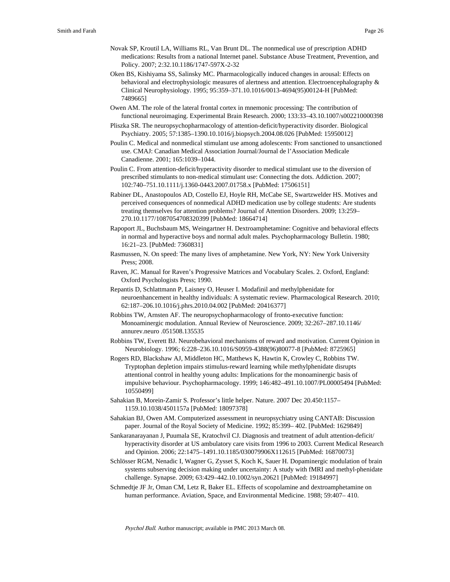- Novak SP, Kroutil LA, Williams RL, Van Brunt DL. The nonmedical use of prescription ADHD medications: Results from a national Internet panel. Substance Abuse Treatment, Prevention, and Policy. 2007; 2:32.10.1186/1747-597X-2-32
- Oken BS, Kishiyama SS, Salinsky MC. Pharmacologically induced changes in arousal: Effects on behavioral and electrophysiologic measures of alertness and attention. Electroencephalography & Clinical Neurophysiology. 1995; 95:359–371.10.1016/0013-4694(95)00124-H [PubMed: 7489665]
- Owen AM. The role of the lateral frontal cortex in mnemonic processing: The contribution of functional neuroimaging. Experimental Brain Research. 2000; 133:33–43.10.1007/s002210000398
- Pliszka SR. The neuropsychopharmacology of attention-deficit/hyperactivity disorder. Biological Psychiatry. 2005; 57:1385–1390.10.1016/j.biopsych.2004.08.026 [PubMed: 15950012]
- Poulin C. Medical and nonmedical stimulant use among adolescents: From sanctioned to unsanctioned use. CMAJ: Canadian Medical Association Journal/Journal de l'Association Medicale Canadienne. 2001; 165:1039–1044.
- Poulin C. From attention-deficit/hyperactivity disorder to medical stimulant use to the diversion of prescribed stimulants to non-medical stimulant use: Connecting the dots. Addiction. 2007; 102:740–751.10.1111/j.1360-0443.2007.01758.x [PubMed: 17506151]
- Rabiner DL, Anastopoulos AD, Costello EJ, Hoyle RH, McCabe SE, Swartzwelder HS. Motives and perceived consequences of nonmedical ADHD medication use by college students: Are students treating themselves for attention problems? Journal of Attention Disorders. 2009; 13:259– 270.10.1177/1087054708320399 [PubMed: 18664714]
- Rapoport JL, Buchsbaum MS, Weingartner H. Dextroamphetamine: Cognitive and behavioral effects in normal and hyperactive boys and normal adult males. Psychopharmacology Bulletin. 1980; 16:21–23. [PubMed: 7360831]
- Rasmussen, N. On speed: The many lives of amphetamine. New York, NY: New York University Press; 2008.
- Raven, JC. Manual for Raven's Progressive Matrices and Vocabulary Scales. 2. Oxford, England: Oxford Psychologists Press; 1990.
- Repantis D, Schlattmann P, Laisney O, Heuser I. Modafinil and methylphenidate for neuroenhancement in healthy individuals: A systematic review. Pharmacological Research. 2010; 62:187–206.10.1016/j.phrs.2010.04.002 [PubMed: 20416377]
- Robbins TW, Arnsten AF. The neuropsychopharmacology of fronto-executive function: Monoaminergic modulation. Annual Review of Neuroscience. 2009; 32:267–287.10.1146/ annurev.neuro .051508.135535
- Robbins TW, Everett BJ. Neurobehavioral mechanisms of reward and motivation. Current Opinion in Neurobiology. 1996; 6:228–236.10.1016/S0959-4388(96)80077-8 [PubMed: 8725965]
- Rogers RD, Blackshaw AJ, Middleton HC, Matthews K, Hawtin K, Crowley C, Robbins TW. Tryptophan depletion impairs stimulus-reward learning while methylphenidate disrupts attentional control in healthy young adults: Implications for the monoaminergic basis of impulsive behaviour. Psychopharmacology. 1999; 146:482–491.10.1007/PL00005494 [PubMed: 10550499]
- Sahakian B, Morein-Zamir S. Professor's little helper. Nature. 2007 Dec 20.450:1157– 1159.10.1038/4501157a [PubMed: 18097378]
- Sahakian BJ, Owen AM. Computerized assessment in neuropsychiatry using CANTAB: Discussion paper. Journal of the Royal Society of Medicine. 1992; 85:399– 402. [PubMed: 1629849]
- Sankaranarayanan J, Puumala SE, Kratochvil CJ. Diagnosis and treatment of adult attention-deficit/ hyperactivity disorder at US ambulatory care visits from 1996 to 2003. Current Medical Research and Opinion. 2006; 22:1475–1491.10.1185/030079906X112615 [PubMed: 16870073]
- Schlösser RGM, Nenadic I, Wagner G, Zysset S, Koch K, Sauer H. Dopaminergic modulation of brain systems subserving decision making under uncertainty: A study with fMRI and methyl-phenidate challenge. Synapse. 2009; 63:429–442.10.1002/syn.20621 [PubMed: 19184997]
- Schmedtje JF Jr, Oman CM, Letz R, Baker EL. Effects of scopolamine and dextroamphetamine on human performance. Aviation, Space, and Environmental Medicine. 1988; 59:407– 410.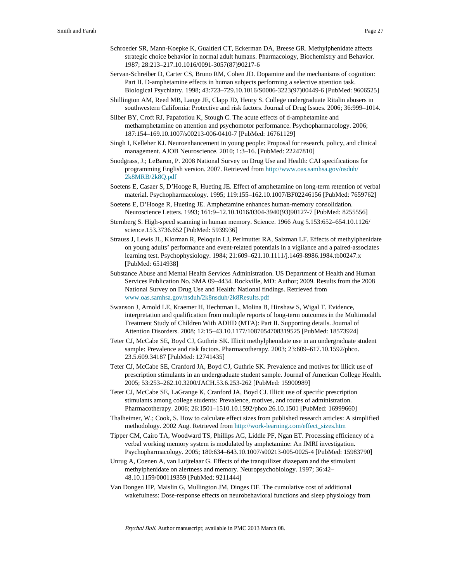- Schroeder SR, Mann-Koepke K, Gualtieri CT, Eckerman DA, Breese GR. Methylphenidate affects strategic choice behavior in normal adult humans. Pharmacology, Biochemistry and Behavior. 1987; 28:213–217.10.1016/0091-3057(87)90217-6
- Servan-Schreiber D, Carter CS, Bruno RM, Cohen JD. Dopamine and the mechanisms of cognition: Part II. D-amphetamine effects in human subjects performing a selective attention task. Biological Psychiatry. 1998; 43:723–729.10.1016/S0006-3223(97)00449-6 [PubMed: 9606525]
- Shillington AM, Reed MB, Lange JE, Clapp JD, Henry S. College undergraduate Ritalin abusers in southwestern California: Protective and risk factors. Journal of Drug Issues. 2006; 36:999–1014.
- Silber BY, Croft RJ, Papafotiou K, Stough C. The acute effects of d-amphetamine and methamphetamine on attention and psychomotor performance. Psychopharmacology. 2006; 187:154–169.10.1007/s00213-006-0410-7 [PubMed: 16761129]
- Singh I, Kelleher KJ. Neuroenhancement in young people: Proposal for research, policy, and clinical management. AJOB Neuroscience. 2010; 1:3–16. [PubMed: 22247810]
- Snodgrass, J.; LeBaron, P. 2008 National Survey on Drug Use and Health: CAI specifications for programming English version. 2007. Retrieved from [http://www.oas.samhsa.gov/nsduh/](http://www.oas.samhsa.gov/nsduh/2k8MRB/2k8Q.pdf) [2k8MRB/2k8Q.pdf](http://www.oas.samhsa.gov/nsduh/2k8MRB/2k8Q.pdf)
- Soetens E, Casaer S, D'Hooge R, Hueting JE. Effect of amphetamine on long-term retention of verbal material. Psychopharmacology. 1995; 119:155–162.10.1007/BF02246156 [PubMed: 7659762]
- Soetens E, D'Hooge R, Hueting JE. Amphetamine enhances human-memory consolidation. Neuroscience Letters. 1993; 161:9–12.10.1016/0304-3940(93)90127-7 [PubMed: 8255556]
- Sternberg S. High-speed scanning in human memory. Science. 1966 Aug 5.153:652–654.10.1126/ science.153.3736.652 [PubMed: 5939936]
- Strauss J, Lewis JL, Klorman R, Peloquin LJ, Perlmutter RA, Salzman LF. Effects of methylphenidate on young adults' performance and event-related potentials in a vigilance and a paired-associates learning test. Psychophysiology. 1984; 21:609–621.10.1111/j.1469-8986.1984.tb00247.x [PubMed: 6514938]
- Substance Abuse and Mental Health Services Administration. US Department of Health and Human Services Publication No. SMA 09–4434. Rockville, MD: Author; 2009. Results from the 2008 National Survey on Drug Use and Health: National findings. Retrieved from www.oas.samhsa.gov/nsduh/2k8nsduh/2k8Results.pdf
- Swanson J, Arnold LE, Kraemer H, Hechtman L, Molina B, Hinshaw S, Wigal T. Evidence, interpretation and qualification from multiple reports of long-term outcomes in the Multimodal Treatment Study of Children With ADHD (MTA): Part II. Supporting details. Journal of Attention Disorders. 2008; 12:15–43.10.1177/1087054708319525 [PubMed: 18573924]
- Teter CJ, McCabe SE, Boyd CJ, Guthrie SK. Illicit methylphenidate use in an undergraduate student sample: Prevalence and risk factors. Pharmacotherapy. 2003; 23:609–617.10.1592/phco. 23.5.609.34187 [PubMed: 12741435]
- Teter CJ, McCabe SE, Cranford JA, Boyd CJ, Guthrie SK. Prevalence and motives for illicit use of prescription stimulants in an undergraduate student sample. Journal of American College Health. 2005; 53:253–262.10.3200/JACH.53.6.253-262 [PubMed: 15900989]
- Teter CJ, McCabe SE, LaGrange K, Cranford JA, Boyd CJ. Illicit use of specific prescription stimulants among college students: Prevalence, motives, and routes of administration. Pharmacotherapy. 2006; 26:1501–1510.10.1592/phco.26.10.1501 [PubMed: 16999660]
- Thalheimer, W.; Cook, S. How to calculate effect sizes from published research articles: A simplified methodology. 2002 Aug. Retrieved from [http://work-learning.com/effect\\_sizes.htm](http://work-learning.com/effect_sizes.htm)
- Tipper CM, Cairo TA, Woodward TS, Phillips AG, Liddle PF, Ngan ET. Processing efficiency of a verbal working memory system is modulated by amphetamine: An fMRI investigation. Psychopharmacology. 2005; 180:634–643.10.1007/s00213-005-0025-4 [PubMed: 15983790]
- Unrug A, Coenen A, van Luijtelaar G. Effects of the tranquilizer diazepam and the stimulant methylphenidate on alertness and memory. Neuropsychobiology. 1997; 36:42– 48.10.1159/000119359 [PubMed: 9211444]
- Van Dongen HP, Maislin G, Mullington JM, Dinges DF. The cumulative cost of additional wakefulness: Dose-response effects on neurobehavioral functions and sleep physiology from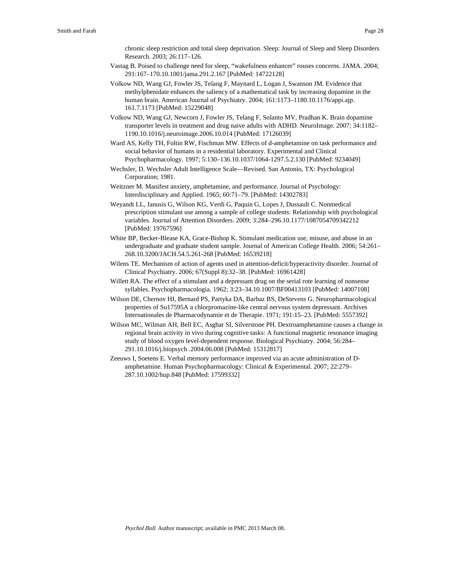chronic sleep restriction and total sleep deprivation. Sleep: Journal of Sleep and Sleep Disorders Research. 2003; 26:117–126.

- Vastag B. Poised to challenge need for sleep, "wakefulness enhancer" rouses concerns. JAMA. 2004; 291:167–170.10.1001/jama.291.2.167 [PubMed: 14722128]
- Volkow ND, Wang GJ, Fowler JS, Telang F, Maynard L, Logan J, Swanson JM. Evidence that methylphenidate enhances the saliency of a mathematical task by increasing dopamine in the human brain. American Journal of Psychiatry. 2004; 161:1173–1180.10.1176/appi.ajp. 161.7.1173 [PubMed: 15229048]
- Volkow ND, Wang GJ, Newcorn J, Fowler JS, Telang F, Solanto MV, Pradhan K. Brain dopamine transporter levels in treatment and drug naive adults with ADHD. NeuroImage. 2007; 34:1182– 1190.10.1016/j.neuroimage.2006.10.014 [PubMed: 17126039]
- Ward AS, Kelly TH, Foltin RW, Fischman MW. Effects of d-amphetamine on task performance and social behavior of humans in a residential laboratory. Experimental and Clinical Psychopharmacology. 1997; 5:130–136.10.1037/1064-1297.5.2.130 [PubMed: 9234049]
- Wechsler, D. Wechsler Adult Intelligence Scale—Revised. San Antonio, TX: Psychological Corporation; 1981.
- Weitzner M. Manifest anxiety, amphetamine, and performance. Journal of Psychology: Interdisciplinary and Applied. 1965; 60:71–79. [PubMed: 14302783]
- Weyandt LL, Janusis G, Wilson KG, Verdi G, Paquin G, Lopes J, Dussault C. Nonmedical prescription stimulant use among a sample of college students: Relationship with psychological variables. Journal of Attention Disorders. 2009; 3:284–296.10.1177/1087054709342212 [PubMed: 19767596]
- White BP, Becker-Blease KA, Grace-Bishop K. Stimulant medication use, misuse, and abuse in an undergraduate and graduate student sample. Journal of American College Health. 2006; 54:261– 268.10.3200/JACH.54.5.261-268 [PubMed: 16539218]
- Wilens TE. Mechanism of action of agents used in attention-deficit/hyperactivity disorder. Journal of Clinical Psychiatry. 2006; 67(Suppl 8):32–38. [PubMed: 16961428]
- Willett RA. The effect of a stimulant and a depressant drug on the serial rote learning of nonsense syllables. Psychopharmacologia. 1962; 3:23–34.10.1007/BF00413103 [PubMed: 14007108]
- Wilson DE, Chernov HI, Bernard PS, Partyka DA, Barbaz BS, DeStevens G. Neuropharmacological properties of Su17595A a chlorpromazine-like central nervous system depressant. Archives Internationales de Pharmacodynamie et de Therapie. 1971; 191:15–23. [PubMed: 5557392]
- Wilson MC, Wilman AH, Bell EC, Asghar SI, Silverstone PH. Dextroamphetamine causes a change in regional brain activity in vivo during cognitive tasks: A functional magnetic resonance imaging study of blood oxygen level-dependent response. Biological Psychiatry. 2004; 56:284– 291.10.1016/j.biopsych .2004.06.008 [PubMed: 15312817]
- Zeeuws I, Soetens E. Verbal memory performance improved via an acute administration of Damphetamine. Human Psychopharmacology: Clinical & Experimental. 2007; 22:279– 287.10.1002/hup.848 [PubMed: 17599332]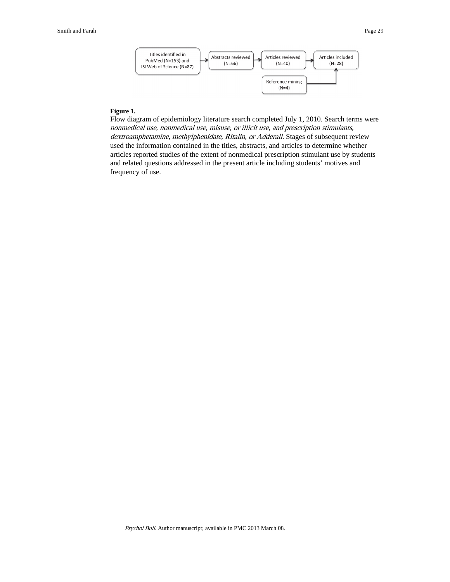

#### **Figure 1.**

Flow diagram of epidemiology literature search completed July 1, 2010. Search terms were nonmedical use, nonmedical use, misuse, or illicit use, and prescription stimulants, dextroamphetamine, methylphenidate, Ritalin, or Adderall. Stages of subsequent review used the information contained in the titles, abstracts, and articles to determine whether articles reported studies of the extent of nonmedical prescription stimulant use by students and related questions addressed in the present article including students' motives and frequency of use.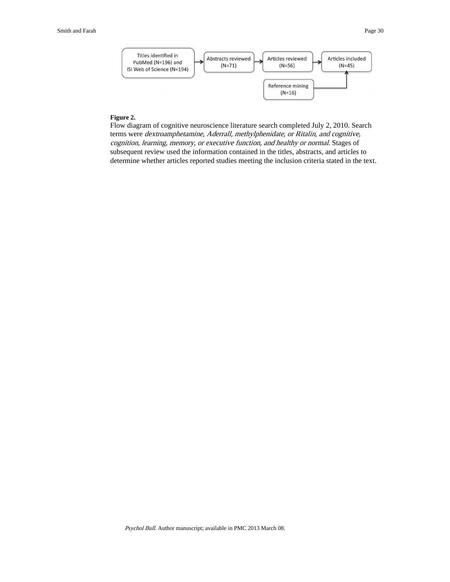

### **Figure 2.**

Flow diagram of cognitive neuroscience literature search completed July 2, 2010. Search terms were dextroamphetamine, Aderrall, methylphenidate, or Ritalin, and cognitive, cognition, learning, memory, or executive function, and healthy or normal. Stages of subsequent review used the information contained in the titles, abstracts, and articles to determine whether articles reported studies meeting the inclusion criteria stated in the text.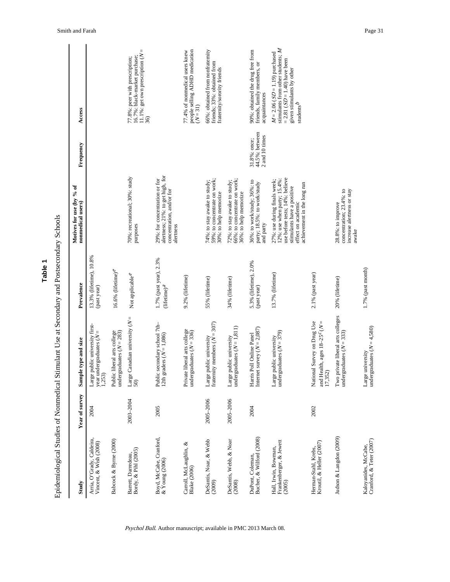| Study                                                     | Year of survey | Sample type and size                                                                   | Prevalence                                                | Motives for use (by % of<br>nonmedical users)                                                                                                                                        | Frequency                                        | Access                                                                                                                                                                  |
|-----------------------------------------------------------|----------------|----------------------------------------------------------------------------------------|-----------------------------------------------------------|--------------------------------------------------------------------------------------------------------------------------------------------------------------------------------------|--------------------------------------------------|-------------------------------------------------------------------------------------------------------------------------------------------------------------------------|
| Arria, O'Grady, Caldeira,<br>Vincent, & Wish (2008)       | 2004           | public university first-<br>year undergraduates $(N =$<br>1,253)<br>Large <sub>]</sub> | 13.3% (lifetime), 10.8%<br>(past year)                    |                                                                                                                                                                                      |                                                  |                                                                                                                                                                         |
| Babcock & Byrne (2000)                                    |                | Public liberal arts college<br>undergraduates $(N = 283)$                              | $16.6\%$ (lifetime) <sup><math>e</math></sup>             |                                                                                                                                                                                      |                                                  |                                                                                                                                                                         |
| Bordy, & Pihl (2005)<br>Barrett, Darredeau,               | 2003-2004      | Canadian university $(N=$<br>Large (                                                   | Not applicable <sup>e</sup>                               | 70%: recreational; 30%: study<br>purposes                                                                                                                                            |                                                  | 11.1%: get own prescription $(N =$<br>16.7%: black-market purchase;<br>77.8%: peer with prescription;<br>36)                                                            |
| Boyd, McCabe, Cranford,<br>& Young (2006)                 | 2005           | secondary school 7th-<br>12th graders $(N\!=\!1,086)$<br>Public                        | 1.7% (past year), 2.3%<br>$(\mbox{if\'etime})^{\emph{a}}$ | alertness; 21%: to get high, for<br>29%: for concentration or for<br>concentration, and/or for<br>alertness                                                                          |                                                  |                                                                                                                                                                         |
| Carroll, McLaughlin, &<br><b>Blake</b> (2006)             |                | Private liberal arts college<br>undergraduates $(N = 336)$                             | 9.2% (lifetime)                                           |                                                                                                                                                                                      |                                                  | people selling ADHD medication<br>77.4% of nonmedical users knew<br>$(N = 31)$                                                                                          |
| DeSantis, Noar, & Webb<br>(2009)                          | 2005-2006      | fraternity members $(N = 307)$<br>public university<br>Large <sub>]</sub>              | 55% (lifetime)                                            | 59%: to concentrate on work;<br>74%: to stay awake to study;<br>30%: to help memorize                                                                                                |                                                  | 66%: obtained from nonfraternity<br>friends; 33%: obtained from<br>fraternity/sorority friends                                                                          |
| DeSantis, Webb, & Noar<br>(2008)                          | 2005-2006      | undergraduates $(N=1, 811)$<br>Large public university                                 | 34% (lifetime)                                            | 66%: to concentrate on work;<br>72%: to stay awake to study;<br>36%: to help memorize                                                                                                |                                                  |                                                                                                                                                                         |
| Bucher, & Wilford (2008)<br>DuPont, Coleman,              | 2004           | Internet survey $(N = 2,087)$<br>Harris Poll Online Panel                              | 5.3% (lifetime), 2.0%<br>(past year)                      | 36%: to work/study; 36%: to<br>party; 18.5%: to work/study<br>and party                                                                                                              | 44.5%: between<br>2 and 10 times<br>31.8%: once; | 90%: obtained the drug free from<br>friends, family members, or<br>acquaintances                                                                                        |
| Frankenberger, & Jewett<br>Hall, Irwin, Bowman,<br>(2005) |                | undergraduates $(N = 379)$<br>public university<br>Large J                             | 13.7% (lifetime)                                          | use before tests; 14%: believe<br>12%: use when party; $15.4\%$ :<br>27%: use during finals week;<br>achievement in the long run<br>stimulants have a positive<br>effect on academic |                                                  | stimulants from other students; M<br>$M = 2.06$ ( $SD = 1.19$ ) purchased<br>$= 2.81 (SD = 1.40)$ have been<br>given stimulants by other<br>$\operatorname{students}^b$ |
| Herman-Stahl, Krebs,<br>Kroutil, & Heller (2007)          | 2002           | National Survey on Drug Use<br>and Health, ages $18-25^{c}$ (N =<br>17,352)            | 2.1% (past year)                                          |                                                                                                                                                                                      |                                                  |                                                                                                                                                                         |
| Judson & Langdon (2009)                                   |                | Two private liberal arts colleges<br>undergraduates $(N = 333)$                        | 20% (lifetime)                                            | increase alertness or stay<br>concentration; 23.4%: to<br>28.8%: to improve<br>awake                                                                                                 |                                                  |                                                                                                                                                                         |
| Kaloyanides, McCabe,<br>Cranford, & Teter (2007)          |                | undergraduates $(N=4,580)$<br>university<br>Large 1                                    | 1.7% (past month)                                         |                                                                                                                                                                                      |                                                  |                                                                                                                                                                         |

Epidemiological Studies of Nonmedical Stimulant Use at Secondary and Postsecondary Schools Epidemiological Studies of Nonmedical Stimulant Use at Secondary and Postsecondary Schools

**Table 1**

Psychol Bull. Author manuscript; available in PMC 2013 March 08.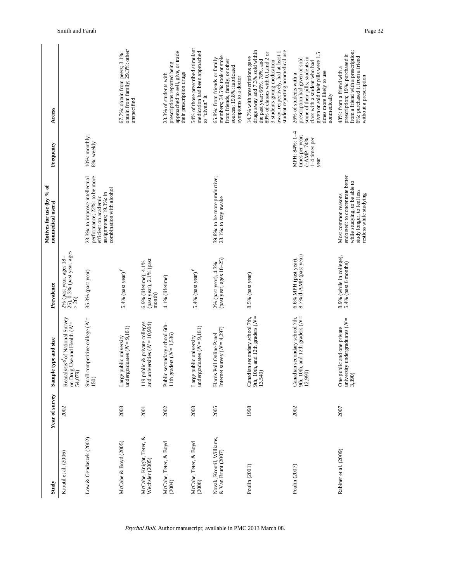| Study                                           | Year of survey | e type and size<br>Sampl                                                            | Prevalence                                                            | Motives for use (by % of<br>nonmedical users)                                                                                                    | Frequency                                                                 | Access                                                                                                                                                                                                                                          |
|-------------------------------------------------|----------------|-------------------------------------------------------------------------------------|-----------------------------------------------------------------------|--------------------------------------------------------------------------------------------------------------------------------------------------|---------------------------------------------------------------------------|-------------------------------------------------------------------------------------------------------------------------------------------------------------------------------------------------------------------------------------------------|
| Kroutil et al. (2006)                           | 2002           | Reanalysis <sup>d</sup> of National Survey<br>on Drug Use and Health (N=<br>54,079) | $2\%$ (past year, ages 18-<br>$25$ ), 0.3% (past year, ages<br>$> 26$ |                                                                                                                                                  |                                                                           |                                                                                                                                                                                                                                                 |
| Low & Gendaszek (2002)                          |                | Small competitive college $(N = 150)$                                               | 35.3% (past year)                                                     | performance; 22%: to be more<br>23.3%: to improve intellectual<br>combination with alcohol<br>assignments; 19.3%: in<br>efficient on academic    | 10%: monthly;<br>8%: weekly                                               |                                                                                                                                                                                                                                                 |
| McCabe & Boyd (2005)                            | 2003           | undergraduates $(N=9,161)$<br>Large public university                               | 5.4% (past year) $^f$                                                 |                                                                                                                                                  |                                                                           | obtain from family; 29.3%: other/<br>67.7%: obtain from peers; 3.1%:<br>unspecified                                                                                                                                                             |
| McCabe, Knight, Teter, &<br>Wechsler (2005)     | 2001           | 119 public & private colleges<br>and universities $(N = 10,904)$                    | (past year), 2.1% (past<br>6.9% (lifetime), 4.1%<br>month)            |                                                                                                                                                  |                                                                           |                                                                                                                                                                                                                                                 |
| McCabe, Teter, & Boyd<br>(2004)                 | 2002           | Public secondary school 6th-<br>11th graders $(N=1,536)$                            | 4.1% (lifetime)                                                       |                                                                                                                                                  |                                                                           | approached to sell, give, or trade<br>prescriptions reported being<br>their prescription drugs<br>23.3% of students with                                                                                                                        |
| McCabe, Teter, & Boyd<br>(2006)                 | 2003           | undergraduates $(N = 9, 161)$<br>Large public university                            | 5.4% (past year) $^f$                                                 |                                                                                                                                                  |                                                                           | 54% of those prescribed stimulant<br>medication had been approached<br>to "divert" it                                                                                                                                                           |
| Novak, Kroutil, Williams,<br>& Van Brunt (2007) | 2005           | Internet survey $(N = 4,297)$<br>Poll Online Panel<br>Harris                        | (past year, ages 18-25)<br>2% (past year), 4.3%                       | $39.8\%$ : to be more productive;<br>$23.1\%$ : to stay awake                                                                                    |                                                                           | members; 34.5%: took or stole<br>65.8%: from friends or family<br>from friends, family, or other<br>sources; 19.8%: fabricated<br>symptoms to a doctor                                                                                          |
| Poulin (2001)                                   | 1998           | 9th, 10th, and 12th graders $(N=13,549)$<br>Canadian secondary school 7th,          | 8.5% (past year)                                                      |                                                                                                                                                  |                                                                           | drugs away and 7.3% sold within<br>student reporting nonmedical use<br>away, respectively, had at least 1<br>89% of classes with 0,1, and 2 or<br>14.7% with prescriptions gave<br>the past year; 66%, 78%, and<br>3 students giving medication |
| Poulin (2007)                                   | 2002           | 9th, 10th, and 12th graders $(N=12,990)$<br>Canadian secondary school 7th,          | 8.7% d-AMP (past year)<br>6.6% MPH (past year),                       |                                                                                                                                                  | MPH: 84%:1-4<br>times per year;<br>d-AMP: 74%:<br>$1-4$ times per<br>year | given or sold their pills were 1.5<br>some of their pills; students in<br>prescription had given or sold<br>class with a student who had<br>times more likely to use<br>26% of students with a<br>nonmedically                                  |
| Rabiner et al. (2009)                           | 2007           | university undergraduates $(N=3,390)$<br>One public and one private                 | 8.9% (while in college),<br>5.4% (past 6 months)                      | endorsed: to concentrate better<br>while studying, to be able to<br>study longer, to feel less<br>restless while studying<br>Most common reasons |                                                                           | from a friend with a prescription;<br>prescription; 19%: purchased it<br>6%: purchased it from a friend<br>48%: from a friend with a<br>without a prescription                                                                                  |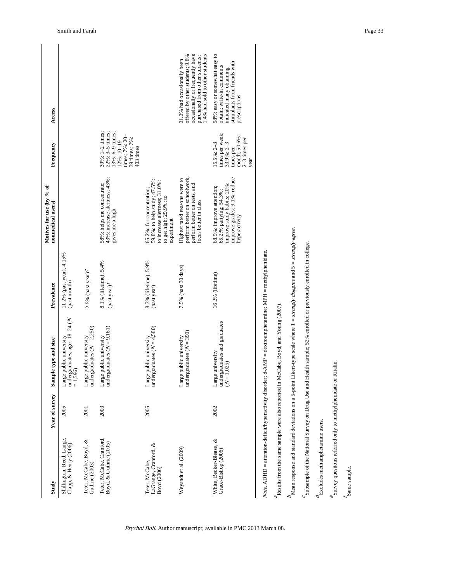| Study                                                  | Year of survey | Sample type and size                                                                                     | Prevalence                                      | Motives for use (by % of<br>nonmedical users)                                                                                          | Frequency                                                                                                                | Access                                                                                                                                                                |
|--------------------------------------------------------|----------------|----------------------------------------------------------------------------------------------------------|-------------------------------------------------|----------------------------------------------------------------------------------------------------------------------------------------|--------------------------------------------------------------------------------------------------------------------------|-----------------------------------------------------------------------------------------------------------------------------------------------------------------------|
| Shillington, Reed, Lange,<br>Clapp, & Henry (2006)     | 2005           | undergraduates, ages 18-24 (N<br>Large public university<br>$= 1,596$                                    | 11.2% (past year), 4.15%<br>(past month)        |                                                                                                                                        |                                                                                                                          |                                                                                                                                                                       |
| Teter, McCabe, Boyd, &<br>Guthrie (2003)               | 2001           | undergraduates $(N = 2,250)$<br>Large public university                                                  | $2.5\%$ (past year) $e$                         |                                                                                                                                        |                                                                                                                          |                                                                                                                                                                       |
| Teter, McCabe, Cranford,<br>Boyd, & Guthrie (2005)     | 2003           | undergraduates $(N=9,161)$<br>Large public university                                                    | 8.1% (lifetime), 5.4%<br>$(\text{past year})^f$ | 43%: increase alertness; 43%:<br>58%: helps me concentrate;<br>gives me a high                                                         | 39%: 1-2 times;<br>22%: 3-5 times;<br>3%: 6-9 times;<br>times; 7%: 20-<br>39 times; 7%:<br>$.2\% : 10 - 19$<br>403 times |                                                                                                                                                                       |
| LaGrange, Cranford, &<br>Teter, McCabe,<br>Boyd (2006) | 2005           | undergraduates $(N = 4,580)$<br>Large public university                                                  | 8.3% (lifetime), 5.9%<br>(past year)            | 59.8%: to help study; 47.5%:<br>to increase alertness; 31.0%:<br>65.2%: for concentration;<br>to get high; $29.9\%$ : to<br>experiment |                                                                                                                          |                                                                                                                                                                       |
| Weyandt et al. (2009)                                  |                | undergraduates $(N = 390)$<br>Large public university                                                    | 7.5% (past 30 days)                             | perform better on schoolwork,<br>Highest rated reasons were to<br>perform better on tests, and<br>focus better in class                |                                                                                                                          | occasionally or frequently have<br>offered by other students; 9.8%<br>.4% had sold to other students<br>purchased from other students;<br>21.2% had occasionally been |
| White, Becker-Blease, &<br>Grace-Bishop (2006)         | 2002           | undergraduates and graduates<br>Large university<br>1,025<br>$(N=1)$                                     | 16.2% (lifetime)                                | improve grades; 9.1%: reduce<br>improve study habits; 20%:<br>68.9%: improve attention;<br>65.2:% partying; 54.3%:<br>hyperactivity    | times per week;<br>month; 50.6%:<br>$2-3$ times per<br>$15.5\%:2-3$<br>$33.9\%:2-3$<br>times per<br>year                 | 58%: easy or somewhat easy to<br>stimulants from friends with<br>obtain; write-in comments<br>indicated many obtaining<br>prescriptions                               |
|                                                        |                | Note: ADHD = attention-deficit/hyperactivity disorder; d-AMP = dextroamphetamine; MPH = methylphenidate. |                                                 |                                                                                                                                        |                                                                                                                          |                                                                                                                                                                       |

 $R$ esults from the same sample were also reported in McCabe, Boyd, and Young (2007). Results from the same sample were also reported in McCabe, Boyd, and Young (2007).

Mean response and standard deviations on a 5-point Likert-type scale where  $1 = \text{strongly}\,\text{disagree}$  and  $5 = \text{strongly agree}$ . Mean response and standard deviations on a 5-point Likert-type scale where  $1 = \frac{\text{strongly}}{\text{disagree}}$  and  $5 = \frac{\text{strongly}}{\text{arg}}$  agree.

'Subsample of the National Survey on Drug Use and Health sample; 52% enrolled or previously enrolled in college. Subsample of the National Survey on Drug Use and Health sample; 52% enrolled or previously enrolled in college.

 $d_{\rm{EX}\rm{cludes}}$  methamphetamine users. Excludes methamphetamine users.

 $\mathcal{E}_{\textsc{Suvey}}$  questions referred only to methyl<br>phenidate or Ritalin. Survey questions referred only to methylphenidate or Ritalin.

 $f_{\mbox{same sample.}}$ Same sample.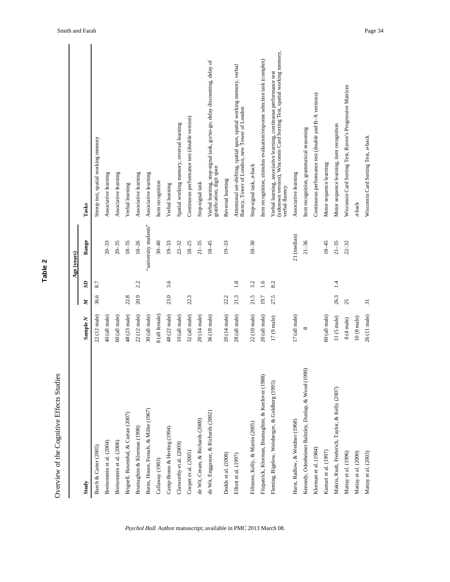|                                                     |                       |                 |           | Age (years)           |                                                                                                                                                                 |
|-----------------------------------------------------|-----------------------|-----------------|-----------|-----------------------|-----------------------------------------------------------------------------------------------------------------------------------------------------------------|
| Study                                               | Sample $N$            | Z               | SD        | Range                 | Tasks                                                                                                                                                           |
| Barch & Carter (2005)                               | 22 (12 male)          | 36.6            | 8.7       |                       | Stroop test, spatial working memory                                                                                                                             |
| Breitenstein et al. (2004)                          | 40 (all male)         |                 |           | $20 - 33$             | Associative learning                                                                                                                                            |
| Breitenstein et al. (2006)                          | 60 (all male)         |                 |           | $20 - 35$             | Associative learning                                                                                                                                            |
| Brignell, Rosenthal, & Curran (2007)                | 48 (23 male)          | 22.8            |           | $18 - 35$             | Verbal learning                                                                                                                                                 |
| Brumaghim & Klorman (1998)                          | 22 (12 male)          | 20.9            | 2.2       | $18 - 26$             | Associative learning                                                                                                                                            |
| Burns, House, Fensch, & Miller (1967)               | 30 (all male)         |                 |           | "university students" | Associative learning                                                                                                                                            |
| Callaway (1983)                                     | 8 (all female)        |                 |           | $30 - 40$             | Item recognition                                                                                                                                                |
| Camp-Bruno & Herting (1994)                         | 48 (22 male)          | 23.0            | 3.6       | $19 - 33$             | Verbal learning                                                                                                                                                 |
| Clatworthy et al. (2009)                            | 10 (all male)         |                 |           | $22 - 32$             | Spatial working memory, reversal learning                                                                                                                       |
| Cooper et al. (2005)                                | 32 (all male)         | 22.3            |           | $18 - 25$             | Continuous performance test (double version)                                                                                                                    |
| de Wit, Cream, & Richards (2000)                    | 20 (14 male)          |                 |           | $21 - 35$             | Stop-signal task                                                                                                                                                |
| de Wit, Enggasser, & Richards (2002)                | 36 (18 male)          |                 |           | $18 - 45$             | Verbal learning, stop-signal task, go/no-go, delay discounting, delay of<br>gratification, digit span                                                           |
| Dodds et al. (2008)                                 | 20 (14 male)          | 22.2            |           | $19 - 33$             | Reversal learning                                                                                                                                               |
| Elliott et al. (1997)                               | 28 (all male)         | 21.3            | 1.8       |                       | Attentional set-shifting, spatial span, spatial working memory, verbal<br>fluency, Tower of London, new Tower of London                                         |
| Fillmore, Kelly, & Martin (2005)                    | $22(10 \text{ male})$ | 21.5            | 3.2       | $18 - 30$             | Stop-signal task, n-back                                                                                                                                        |
| Fitzpatrick, Klorman, Brumaghim, & Keefover (1988)  | 20 (all male)         | 19.7            | 1.6       |                       | Item recognition, stimulus evaluation/response selection task (complex)                                                                                         |
| Fleming, Bigelow, Weinberger, & Goldberg (1995)     | 17 (9 male)           | 27.5            | 8.2       |                       | Verbal learning, associative learning, continuous performance test<br>(unknown version), Wisconsin Card Sorting Test, spatial working memory,<br>verbal fluency |
| Hurst, Radlow, & Weidner (1968)                     | 17 (all male)         |                 |           | 21 (median)           | Associative learning                                                                                                                                            |
| Kennedy, Odenheimer Baltzley, Dunlap, & Wood (1990) | ${}^{\circ}$          |                 |           | $21 - 36$             | Item recognition, grammatical reasoning                                                                                                                         |
| Klorman et al. (1984)                               |                       |                 |           |                       | Continuous performance test (double and B-X versions)                                                                                                           |
| Kumari et al. (1997)                                | $60$ (all male)       |                 |           | $18 - 45$             | Motor sequence learning                                                                                                                                         |
| Makris, Rush, Frederich, Taylor, & Kelly (2007)     | $11(5 \text{ male})$  | 26.3            | $\vec{a}$ | $21 - 35$             | Motor sequence learning, item recognition                                                                                                                       |
| Mattay et al. (1996)                                | $8(4 \text{ male})$   | 25              |           | $22 - 32$             | Wisconsin Card Sorting Test, Raven's Progressive Matrices                                                                                                       |
| Mattay et al. (2000)                                | $10(8$ male)          |                 |           |                       | $n$ -back                                                                                                                                                       |
| Mattay et al. (2003)                                | 26 (11 male)          | $\overline{31}$ |           |                       | Wisconsin Card Sorting Test, n-back                                                                                                                             |

**Table 2**

Overview of the Cognitive Effects Studies

Overview of the Cognitive Effects Studies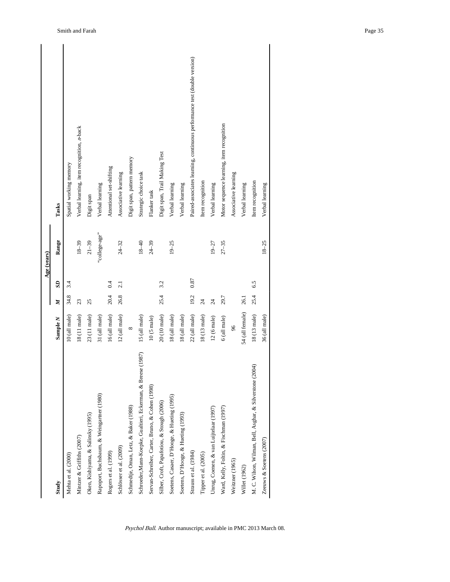|                                                              |                      |                 |      | Age (years)   |                                                                          |
|--------------------------------------------------------------|----------------------|-----------------|------|---------------|--------------------------------------------------------------------------|
| Study                                                        | Sample N             | N               | S    | Range         | Tasks                                                                    |
| Mehta et al. (2000)                                          | 10 (all male)        | 34.8            | 3.4  |               | Spatial working memory                                                   |
| Mintzer & Griffiths (2007)                                   | 18 (11 male)         | 23              |      | $18 - 39$     | Verbal learning, item recognition, n-back                                |
| Oken, Kishiyama, & Salinsky (1995)                           | 23 (11 male)         | 25              |      | $21 - 39$     | Digit span                                                               |
| Rapoport, Buchsbaum, & Weingartner (1980)                    | 31 (all male)        |                 |      | "college-age" | Verbal learning                                                          |
| Rogers et al. (1999)                                         | 16 (all male)        | 20.4            | 0.4  |               | Attentional set-shifting                                                 |
| Schlösser et al. (2009)                                      | 12 (all male)        | 26.8            | 2.1  | $24 - 32$     | Associative learning                                                     |
| Schmedtje, Oman, Letz, & Baker (1988)                        | ∞                    |                 |      |               | Digit span, pattern memory                                               |
| Schroeder, Mann-Koepke, Gualtieri, Eckerman, & Breese (1987) | 15 (all male)        |                 |      | $18 - 40$     | Strategic choice task                                                    |
| Servan-Schreiber, Carter, Bruno, & Cohen (1998)              | $10(5 \text{ male})$ |                 |      | $24 - 39$     | Flanker task                                                             |
| Silber, Croft, Papafotiou, & Stough (2006)                   | 20 (10 male)         | 25.4            | 3.2  |               | Digit span, Trail Making Test                                            |
| Soetens, Casaer, D'Hooge, & Hueting (1995)                   | 18 (all male)        |                 |      | $19 - 25$     | Verbal learning                                                          |
| Soetens, D'Hooge, & Hueting (1993)                           | 18 (all male)        |                 |      |               | Verbal learning                                                          |
| Strauss et al. (1984)                                        | $22$ (all male)      | 19.2            | 0.87 |               | Paired-associates learning, continuous performance test (double version) |
| Tipper et al. (2005)                                         | 18 (13 male)         | $\overline{24}$ |      |               | Item recognition                                                         |
| Unrug, Coenen, & van Luijtelaar (1997)                       | 12 (6 male)          | $\overline{c}$  |      | $19 - 27$     | Verbal learning                                                          |
| Ward, Kelly, Foltin, & Fischman (1997)                       | 6 (all male)         | 29.7            |      | $27 - 35$     | Motor sequence learning, item recognition                                |
| Weitzner (1965)                                              | 96                   |                 |      |               | Associative learning                                                     |
| Willet (1962)                                                | 54 (all female)      | 26.1            |      |               | Verbal learning                                                          |
| M. C. Wilson, Wilman, Bell, Asghar, & Silverstone (2004)     | 18 (13 male)         | 25.4            | 6.5  |               | Item recognition                                                         |
| Zeeuws & Soetens (2007)                                      | 36 (all male)        |                 |      | $18 - 25$     | Verbal learning                                                          |
|                                                              |                      |                 |      |               |                                                                          |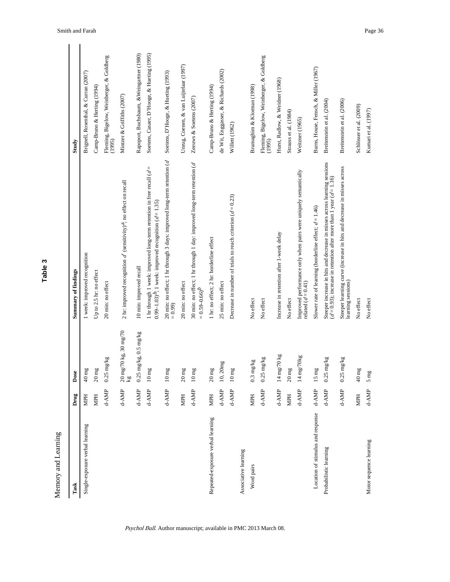| Memory and Learning               |                                               |                                           |                                                                                                                                                  |                                                    |
|-----------------------------------|-----------------------------------------------|-------------------------------------------|--------------------------------------------------------------------------------------------------------------------------------------------------|----------------------------------------------------|
| Task                              | Drug                                          | Dose                                      | <b>Summary of findings</b>                                                                                                                       | Study                                              |
| Single-exposure verbal learning   | <b>NPH</b>                                    | þņ<br>$40 \text{ m}$                      | 1 week: improved recognition                                                                                                                     | Brignell, Rosenthal, & Curran (2007)               |
|                                   | <b>MPH</b>                                    | ōņ<br>$20 \text{ m}$                      | Up to 2.5 hr: no effect                                                                                                                          | Camp-Bruno & Herting (1994)                        |
|                                   | d-AMP                                         | $0.25\;\mathrm{mg/kg}$                    | 20 min: no effect                                                                                                                                | Fleming, Bigelow, Weinberger, & Goldberg<br>(1995) |
|                                   | d-AMP                                         | g/70 kg, 30 mg/70<br>$20 \text{ m}$<br>kg | 2 hr: improved recognition $d'$ (sensitivity) <sup><math>d</math></sup> ; no effect on recall                                                    | Mintzer & Griffiths (2007)                         |
|                                   | d-AMP                                         | $0.25$ mg/kg, $0.5$ mg/kg                 | 10 min: improved recall                                                                                                                          | Rapoport, Buchsbaum, &Weingartner (1980)           |
|                                   | d-AMP                                         | ġ<br>$10 \text{ m}$                       | 1 hr through 1 week: improved long-term retention in free recall $(d =$<br>0.99-1.03) $b$ ; 1 week: improved recognition ( $d = 1.35$ )          | Soetens, Casaer, D'Hooge, & Hueting (1995)         |
|                                   | d-AMP                                         | рņ<br>$10 \text{ m}$                      | 20 min: no effect; 1 hr through 3 days: improved long-term retention (d<br>$= 0.99$                                                              | Soetens, D'Hooge, & Hueting (1993)                 |
|                                   | <b>MPH</b>                                    | ġ<br>$20 \text{ m}$                       | 20 min: no effect                                                                                                                                | Unrug, Coenen, & van Luijtelaar (1997)             |
|                                   | d-AMP                                         | ā<br>$10 \text{ m}$                       | 30 min: no effect; 1 hr through 1 day: improved long-term retention (d<br>$= 0.59 - 0.66$                                                        | Zeeuws & Soetens (2007)                            |
| Repeated-exposure verbal learning | <b>NPH</b>                                    | 60<br>$20 \text{ m}$                      | 1 hr: no effect; 2 hr: borderline effect                                                                                                         | Camp-Bruno & Herting (1994)                        |
|                                   | $d-{\sf AMP}$                                 | 10, 20mg                                  | 25 min: no effect                                                                                                                                | de Wit, Enggasser, & Richards (2002)               |
|                                   | d-AMP                                         | <b>b</b><br>10m                           | Decrease in number of trials to reach criterion $(d=0.23)$                                                                                       | Willett (1962)                                     |
| Associative learning              |                                               |                                           |                                                                                                                                                  |                                                    |
| Word pairs                        | <b>MPH</b>                                    | $0.3\;\mathrm{mg/kg}$                     | No effect                                                                                                                                        | Brumaghim & Klorman (1998)                         |
|                                   | $d$ -AMP                                      | $0.25 \; {\rm mg/kg}$                     | No effect                                                                                                                                        | Fleming, Bigelow, Weinberger, & Goldberg<br>(1995) |
|                                   | $d$ -AMP                                      | 1g/70 kg<br>14 m                          | Increase in retention after 1-week delay                                                                                                         | Hurst, Radlow, & Weidner (1968)                    |
|                                   | <b>MPH</b>                                    | òр<br>$20 \text{ m}$                      | No effect                                                                                                                                        | Strauss et al. (1984)                              |
|                                   | $\ensuremath{\mathsf{d}\text{-}\mathsf{AMP}}$ | g/70kg<br>14 m                            | Improved performance only when pairs were uniquely semantically<br>related $(d = 0.41)$                                                          | Weitzner (1965)                                    |
| Location of stimulus and response | $d-AMP$                                       | ġ<br>15 m                                 | Slower rate of learning (borderline effect; $d = 1.46$ )                                                                                         | Burns, House, Fensch, & Miller (1967)              |
| Probabilistic learning            | $\mathrm{d}\text{-}\mathrm{AMP}$              | $0.25 \; {\rm mg/kg}$                     | Steeper increase in hits and decrease in misses across learning sessions<br>$(d=0.93)$ ; increase in retention after more than 1 year $(d=1.16)$ | Breitenstein et al. (2004)                         |
|                                   | $d-{\sf AMP}$                                 | $0.25$ mg/kg                              | Steeper learning curve (increase in hits and decrease in misses across<br>learning sessions)                                                     | Breitenstein et al. (2006)                         |
|                                   | <b>NPH</b>                                    | ġŌ<br>$40 \text{ m}$                      | No effect                                                                                                                                        | Schlösser et al. (2009)                            |
| Motor sequence learning           | $\ensuremath{\mathsf{d}\text{-}\mathsf{AMP}}$ | $5 \text{ mg}$                            | No effect                                                                                                                                        | Kumari et al. (1997)                               |

**Table 3**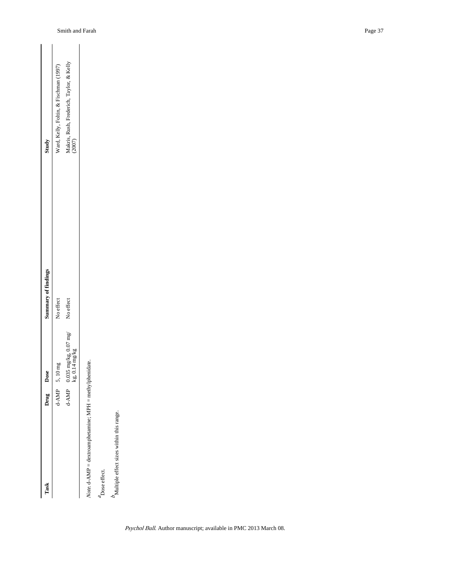| Task                                                    | Drug Dose   |                                      | Summary of findings | Study                                              |
|---------------------------------------------------------|-------------|--------------------------------------|---------------------|----------------------------------------------------|
|                                                         |             | d-AMP 5, $10 \text{ mg}$             | No effect           | Ward, Kelly, Foltin, & Fischman (1997)             |
|                                                         | d-AMP 0.035 | $mg/kg$ , 0.07 mg/<br>kg, 0.14 mg/kg | No effect           | Makris, Rush, Frederich, Taylor, & Kelly<br>(2007) |
| Note. d-AMP = dextroamphetamine; MPH = methylphenidate. |             |                                      |                     |                                                    |

 $a_{\mbox{\small\sc loc}}$ effect.  $b_{\mbox{Multiple effect sizes within this range.}}$ Multiple effect sizes within this range.

Dose effect.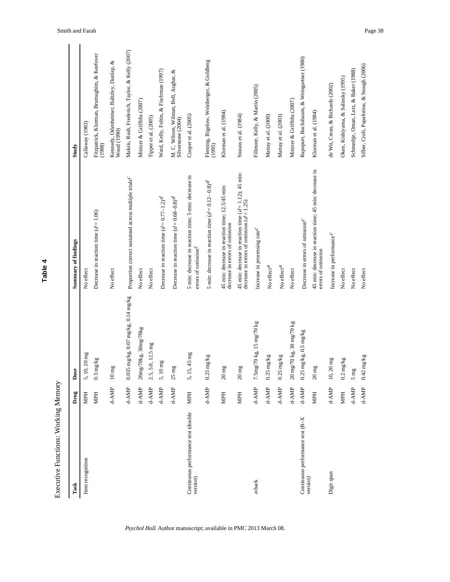| Task                                            | Drug          | Dose                                      | <b>Summary of findings</b>                                                                                 | Study                                                       |
|-------------------------------------------------|---------------|-------------------------------------------|------------------------------------------------------------------------------------------------------------|-------------------------------------------------------------|
| Item recognition                                | <b>NPH</b>    | $0, 20$ mg<br>5, 1                        | No effect                                                                                                  | Callaway (1983)                                             |
|                                                 | <b>NPH</b>    | mg/kg<br>0.3                              | Decrease in reaction time $(d = 1.06)$                                                                     | Fitzpatrick, Klorman, Brumaghim, & Keefover<br>(1988)       |
|                                                 | $d-AMP$       | $10\,\mathrm{mg}$                         | No effect                                                                                                  | Kennedy, Odenheimer, Baltzley, Dunlap, & Wood (1990)        |
|                                                 | $d-{\sf AMP}$ | $0.035$ mg/kg, $0.07$ mg/kg, $0.14$ mg/kg | Proportion correct sustained across multiple trials <sup>C</sup>                                           | Makris, Rush, Frederich, Taylor, & Kelly (2007)             |
|                                                 | $d$ -AMP      | 20mg/70kg, 30mg/70kg                      | No effect                                                                                                  | Mintzer & Griffiths (2007)                                  |
|                                                 | $d-{\sf AMP}$ | 5.0, 12.5 mg<br>2.5,                      | No effect                                                                                                  | Tipper et al. (2005)                                        |
|                                                 | d-AMP         | 5,10 mg                                   | Decrease in reaction time $(d = 0.77-1.2)^d$                                                               | Ward, Kelly, Foltin, & Fischman (1997)                      |
|                                                 | d-AMP         | $25 \:\rm mg$                             | Decrease in reaction time ( $d = 0.68-0.8$ ) <sup>d</sup>                                                  | M. C. Wilson, Wilman, Bell, Asghar, &<br>Silverstone (2004) |
| Continuous performance test (double<br>version) | <b>MPH</b>    | $5,45$ mg<br>5,1                          | 5 min: decrease in reaction time; 5 min: decrease in<br>errors of omission $^c$                            | Cooper et al. (2005)                                        |
|                                                 | d-AMP         | 5 mg/kg<br>0.25                           | 5 min: decrease in reaction time $(d=0.12-0.8)^d$                                                          | Fleming, Bigelow, Weinberger, & Goldberg<br>(1995)          |
|                                                 | <b>MPH</b>    | $20\,\mathrm{mg}$                         | 45 min: decrease in reaction time; 12.5/45 min:<br>decrease in errors of omission                          | Klorman et al. (1984)                                       |
|                                                 | <b>NPH</b>    | $20\,\mathrm{mg}$                         | 45 min: decrease in reaction time ( $d = 1.12$ ); 45 min:<br>decrease in errors of omission ( $d = 1.25$ ) | Strauss et al. (1984)                                       |
| $n$ -back                                       | d-AMP         | 7.5mg/70 kg, 15 mg/70 kg                  | Increase in processing rate <sup>c</sup>                                                                   | Fillmore, Kelly, & Martin (2005)                            |
|                                                 | $d$ -AMP      | mg/kg<br>0.25                             | No effect <sup>a</sup>                                                                                     | Mattay et al. (2000)                                        |
|                                                 | $d-AMP$       | $0.25 \; \rm mg/kg$                       | No effect $a$                                                                                              | Mattay et al. (2003)                                        |
|                                                 | $d$ -AMP      | 20 mg/70 kg, 30 mg/70 kg                  | No effect                                                                                                  | Mintzer & Griffiths (2007)                                  |
| Continuous performance test (B-X<br>version)    | d-AMP         | $0.25$ mg/kg, $0.5$ mg/kg                 | Decrease in errors of omission <sup>c</sup>                                                                | Rapoport, Buchsbaum, & Weingartner (1980)                   |
|                                                 | <b>MPH</b>    | $20\,\mathrm{mg}$                         | 45 min: decrease in reaction time; 45 min: decrease in<br>errors of omission                               | Klorman et al. (1984)                                       |
| Digit span                                      | $d-AMP$       | $20\,\mathrm{mg}$<br>$\Xi$                | Increase in performance $\!c}$                                                                             | de Wit, Crean, & Richards (2002)                            |
|                                                 | <b>MPH</b>    | mg/kg<br>0.2                              | No effect                                                                                                  | Oken, Kishiyama, & Salinsky (1995)                          |
|                                                 | d-AMP         | 5 <sub>mg</sub>                           | No effect                                                                                                  | Schmedtje, Oman, Letz, & Baker (1988)                       |
|                                                 | d-AMP         | $0.42$ mg/kg                              | No effect                                                                                                  | Silber, Croft, Papafotiou, & Stough (2006)                  |

**Table 4**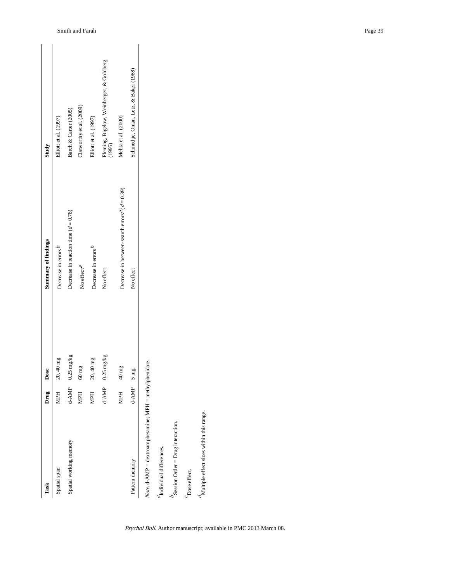| Task                                                    | Drug Dose  |                      | Summary of findings                                                        | Study                                              |
|---------------------------------------------------------|------------|----------------------|----------------------------------------------------------------------------|----------------------------------------------------|
| Spatial span                                            | NPH        | 20, 40 mg            | Decrease in $\text{errors}^D$                                              | Elliott et al. (1997)                              |
| Spatial working memory                                  |            | d-AMP $0.25$ mg/kg   | Decrease in reaction time $(d = 0.78)$                                     | Barch & Carter (2005)                              |
|                                                         | <b>MPH</b> | $60 \text{ mg}$      | No effect <sup>a</sup>                                                     | Clatworthy et al. (2009)                           |
|                                                         | <b>NPH</b> | 20, 40 mg            | Decrease in $\text{errors}^D$                                              | Elliott et al. (1997)                              |
|                                                         | d-AMP      | mg/kg<br>0.25        | No effect                                                                  | Fleming, Bigelow, Weinberger, & Goldberg<br>(1995) |
|                                                         | MPH        | ng<br>$\frac{40}{1}$ | Decrease in between-search errors <sup><math>a</math></sup> ( $d = 0.39$ ) | Mehta et al. (2000)                                |
| Pattern memory                                          | d-AMP 5 mg |                      | No effect                                                                  | Schmedtje, Oman, Letz, & Baker (1988)              |
| Note. d-AMP = dextroamphetamine; MPH = methylphenidate. |            |                      |                                                                            |                                                    |

 $\rm{^2}$ Individual differences. Individual differences.

 $b$ <sub>Session</sub> Order = Drug interaction. Session Order = Drug interaction.

 $c_{\mbox{\small\textsf{Dose effect.}}}$ Dose effect.

 $d_{\mbox{Multiple effect sizes within this range.}}$ Multiple effect sizes within this range.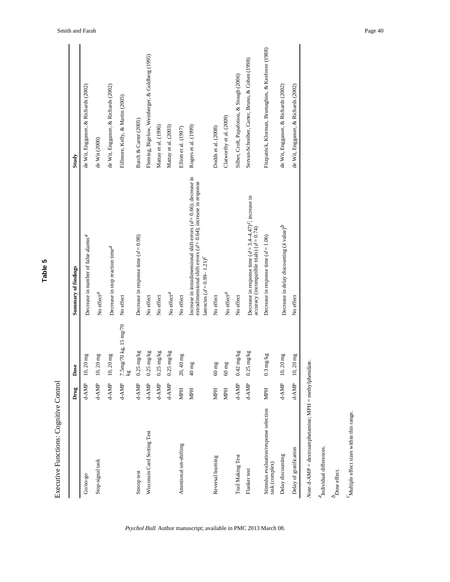|                                                          | Drug                                          | Dose                                       | <b>Summary of findings</b>                                                                                                                                                 | Study                                              |
|----------------------------------------------------------|-----------------------------------------------|--------------------------------------------|----------------------------------------------------------------------------------------------------------------------------------------------------------------------------|----------------------------------------------------|
| Go/no-go                                                 | d-AMP                                         | $0, 20$ mg                                 | Decrease in number of false alarms <sup>4</sup>                                                                                                                            | de Wit, Enggasser, & Richards (2002)               |
| Stop-signal task                                         | $d-AMP$                                       | $10, 20$ mg                                | No effect <sup>a</sup>                                                                                                                                                     | de Wit (2000)                                      |
|                                                          | $\mathrm{d}\text{-}\mathrm{AMP}$              | $10,20$ mg                                 | Decrease in stop reaction time <sup>4</sup>                                                                                                                                | de Wit, Enggasser, & Richards (2002)               |
|                                                          | $d$ -AMP                                      | $7.5 \text{mg} / 70 \text{ kg}$ , 15 mg/70 | No effect                                                                                                                                                                  | Fillmore, Kelly, & Martin (2005)                   |
| Stroop test                                              | $d$ -AMP                                      | $0.25$ mg/kg                               | Decrease in response time $(d=0.98)$                                                                                                                                       | Barch & Carter (2005)                              |
| Wisconsin Card Sorting Test                              | d-AMP                                         | $0.25 \; {\rm mg/kg}$                      | No effect                                                                                                                                                                  | Fleming, Bigelow, Weinberger, & Goldberg (1995)    |
|                                                          | $d-AMP$                                       | $0.25 \text{ mg/kg}$                       | No effect                                                                                                                                                                  | Mattay et al. (1996)                               |
|                                                          | d-AMP                                         | $0.25 \text{ mg/kg}$                       | No effect <sup>a</sup>                                                                                                                                                     | Mattay et al. (2003)                               |
| Attentional set-shifting                                 | <b>NPH</b>                                    | $20,40$ mg                                 | No effect                                                                                                                                                                  | Elliott et al. (1997)                              |
|                                                          | <b>MPH</b>                                    | $40 \, \rm{mg}$                            | Increase in intradimensional shift errors $(d=0.66)$ ; decrease in<br>extradimensional shift errors $(d = 0.64)$ ; increase in response<br>latencies $(d = 0.99 - 1.21)^C$ | Rogers et al. (1999)                               |
| Reversal learning                                        | <b>MPH</b>                                    | $60 \text{ mg}$                            | No effect                                                                                                                                                                  | Dodds et al. (2008)                                |
|                                                          | <b>NPH</b>                                    | $60 \text{ mg}$                            | No effect <sup>a</sup>                                                                                                                                                     | Clatworthy et al. (2009)                           |
| Trail Making Test                                        | $\ensuremath{\mathsf{d}\text{-}\mathsf{AMP}}$ | $0.42 \text{ mg/kg}$                       | No effect                                                                                                                                                                  | Silber, Croft, Papafotiou, & Stough (2006)         |
| Flanker test                                             | d-AMP                                         | .25 $mg/kg$<br>$\circ$                     | Decrease in response time $(d=3.4-4.47)^{c}$ ; increase in<br>accuracy (incompatible trials) $(d = 0.74)$                                                                  | Servan-Schreiber, Carter, Bruno, & Cohen (1998)    |
| Stimulus evaluation/response selection<br>task (complex) | <b>NPH</b>                                    | $0.3\;\mathrm{mg/kg}$                      | Decrease in response time $(d=1.06)$                                                                                                                                       | Fitzpatrick, Klorman, Brumaghim, & Keefover (1988) |
| Delay discounting                                        | $d$ -AMP                                      | $0, 20$ mg                                 | Decrease in delay discounting $(k$ value) <sup><math>b</math></sup>                                                                                                        | de Wit, Enggasser, & Richards (2002)               |
| Delay of gratification                                   | $d-{\sf AMP}$                                 | $0, 20$ mg                                 | No effect                                                                                                                                                                  | de Wit, Enggasser, & Richards (2002)               |
| Note. d-AMP = dextroamphetamine; MPH = methylphenidate.  |                                               |                                            |                                                                                                                                                                            |                                                    |

Executive Functions: Cognitive Control Executive Functions: Cognitive Control

**Table 5**

Psychol Bull. Author manuscript; available in PMC 2013 March 08.

 $a_{\rm Individual\ differences.}$ Individual differences.

 $b_{\mbox{\small{Dose effect.}}}$ Dose effect.

 $\emph{c}$  Multiple effect sizes within this range. Multiple effect sizes within this range.